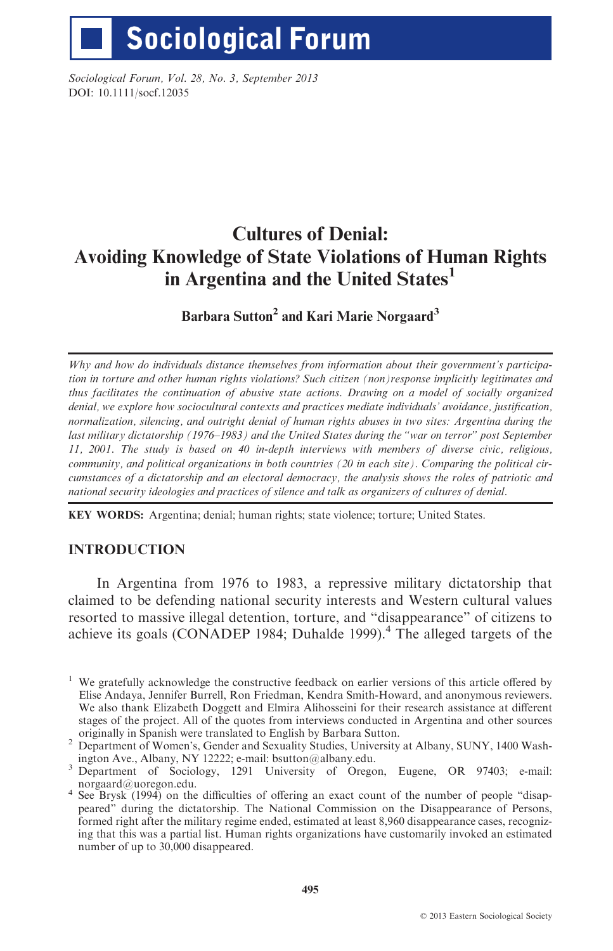# **Sociological Forum**

Sociological Forum, Vol. 28, No. 3, September 2013 DOI: 10.1111/socf.12035

# Cultures of Denial: Avoiding Knowledge of State Violations of Human Rights in Argentina and the United States<sup>1</sup>

# Barbara Sutton<sup>2</sup> and Kari Marie Norgaard<sup>3</sup>

Why and how do individuals distance themselves from information about their government's participation in torture and other human rights violations? Such citizen (non)response implicitly legitimates and thus facilitates the continuation of abusive state actions. Drawing on a model of socially organized denial, we explore how sociocultural contexts and practices mediate individuals' avoidance, justification, normalization, silencing, and outright denial of human rights abuses in two sites: Argentina during the last military dictatorship (1976–1983) and the United States during the "war on terror" post September 11, 2001. The study is based on 40 in-depth interviews with members of diverse civic, religious, community, and political organizations in both countries (20 in each site). Comparing the political circumstances of a dictatorship and an electoral democracy, the analysis shows the roles of patriotic and national security ideologies and practices of silence and talk as organizers of cultures of denial.

KEY WORDS: Argentina; denial; human rights; state violence; torture; United States.

# **INTRODUCTION**

In Argentina from 1976 to 1983, a repressive military dictatorship that claimed to be defending national security interests and Western cultural values resorted to massive illegal detention, torture, and "disappearance" of citizens to achieve its goals (CONADEP 1984; Duhalde 1999).<sup>4</sup> The alleged targets of the

We gratefully acknowledge the constructive feedback on earlier versions of this article offered by Elise Andaya, Jennifer Burrell, Ron Friedman, Kendra Smith-Howard, and anonymous reviewers. We also thank Elizabeth Doggett and Elmira Alihosseini for their research assistance at different stages of the project. All of the quotes from interviews conducted in Argentina and other sources originally in Spanish were translated to English by Barbara Sutton.

<sup>&</sup>lt;sup>2</sup> Department of Women's, Gender and Sexuality Studies, University at Albany, SUNY, 1400 Wash-<br>ington Ave., Albany, NY 12222; e-mail: bsutton@albany.edu.

<sup>&</sup>lt;sup>3</sup> Department of Sociology, 1291 University of Oregon, Eugene, OR 97403; e-mail: norgaard@uoregon.edu.<br><sup>4</sup> See Brysk (1994) on the difficulties of offering an exact count of the number of people "disap-

peared" during the dictatorship. The National Commission on the Disappearance of Persons, formed right after the military regime ended, estimated at least 8,960 disappearance cases, recognizing that this was a partial list. Human rights organizations have customarily invoked an estimated number of up to 30,000 disappeared.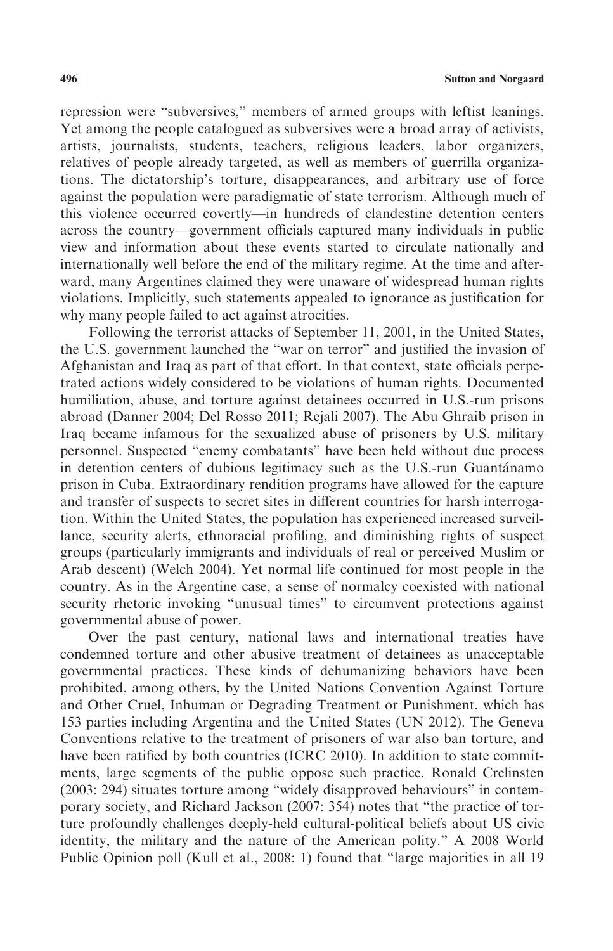repression were "subversives," members of armed groups with leftist leanings. Yet among the people catalogued as subversives were a broad array of activists, artists, journalists, students, teachers, religious leaders, labor organizers, relatives of people already targeted, as well as members of guerrilla organizations. The dictatorship's torture, disappearances, and arbitrary use of force against the population were paradigmatic of state terrorism. Although much of this violence occurred covertly—in hundreds of clandestine detention centers across the country—government officials captured many individuals in public view and information about these events started to circulate nationally and internationally well before the end of the military regime. At the time and afterward, many Argentines claimed they were unaware of widespread human rights violations. Implicitly, such statements appealed to ignorance as justification for why many people failed to act against atrocities.

Following the terrorist attacks of September 11, 2001, in the United States, the U.S. government launched the "war on terror" and justified the invasion of Afghanistan and Iraq as part of that effort. In that context, state officials perpetrated actions widely considered to be violations of human rights. Documented humiliation, abuse, and torture against detainees occurred in U.S.-run prisons abroad (Danner 2004; Del Rosso 2011; Rejali 2007). The Abu Ghraib prison in Iraq became infamous for the sexualized abuse of prisoners by U.S. military personnel. Suspected "enemy combatants" have been held without due process in detention centers of dubious legitimacy such as the U.S.-run Guantánamo prison in Cuba. Extraordinary rendition programs have allowed for the capture and transfer of suspects to secret sites in different countries for harsh interrogation. Within the United States, the population has experienced increased surveillance, security alerts, ethnoracial profiling, and diminishing rights of suspect groups (particularly immigrants and individuals of real or perceived Muslim or Arab descent) (Welch 2004). Yet normal life continued for most people in the country. As in the Argentine case, a sense of normalcy coexisted with national security rhetoric invoking "unusual times" to circumvent protections against governmental abuse of power.

Over the past century, national laws and international treaties have condemned torture and other abusive treatment of detainees as unacceptable governmental practices. These kinds of dehumanizing behaviors have been prohibited, among others, by the United Nations Convention Against Torture and Other Cruel, Inhuman or Degrading Treatment or Punishment, which has 153 parties including Argentina and the United States (UN 2012). The Geneva Conventions relative to the treatment of prisoners of war also ban torture, and have been ratified by both countries (ICRC 2010). In addition to state commitments, large segments of the public oppose such practice. Ronald Crelinsten (2003: 294) situates torture among "widely disapproved behaviours" in contemporary society, and Richard Jackson (2007: 354) notes that "the practice of torture profoundly challenges deeply-held cultural-political beliefs about US civic identity, the military and the nature of the American polity." A 2008 World Public Opinion poll (Kull et al., 2008: 1) found that "large majorities in all 19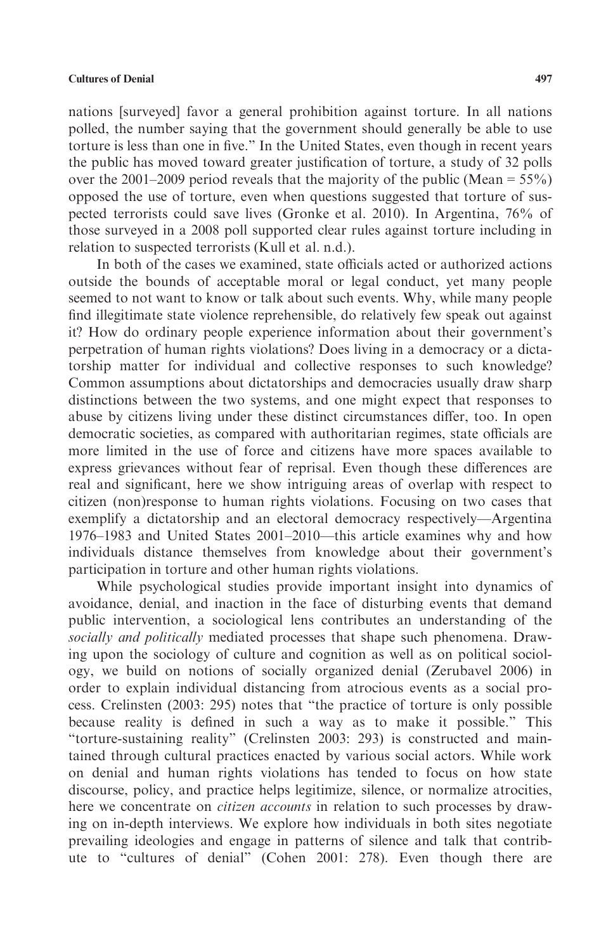nations [surveyed] favor a general prohibition against torture. In all nations polled, the number saying that the government should generally be able to use torture is less than one in five." In the United States, even though in recent years the public has moved toward greater justification of torture, a study of 32 polls over the 2001–2009 period reveals that the majority of the public (Mean =  $55\%$ ) opposed the use of torture, even when questions suggested that torture of suspected terrorists could save lives (Gronke et al. 2010). In Argentina, 76% of those surveyed in a 2008 poll supported clear rules against torture including in relation to suspected terrorists (Kull et al. n.d.).

In both of the cases we examined, state officials acted or authorized actions outside the bounds of acceptable moral or legal conduct, yet many people seemed to not want to know or talk about such events. Why, while many people find illegitimate state violence reprehensible, do relatively few speak out against it? How do ordinary people experience information about their government's perpetration of human rights violations? Does living in a democracy or a dictatorship matter for individual and collective responses to such knowledge? Common assumptions about dictatorships and democracies usually draw sharp distinctions between the two systems, and one might expect that responses to abuse by citizens living under these distinct circumstances differ, too. In open democratic societies, as compared with authoritarian regimes, state officials are more limited in the use of force and citizens have more spaces available to express grievances without fear of reprisal. Even though these differences are real and significant, here we show intriguing areas of overlap with respect to citizen (non)response to human rights violations. Focusing on two cases that exemplify a dictatorship and an electoral democracy respectively—Argentina 1976–1983 and United States 2001–2010—this article examines why and how individuals distance themselves from knowledge about their government's participation in torture and other human rights violations.

While psychological studies provide important insight into dynamics of avoidance, denial, and inaction in the face of disturbing events that demand public intervention, a sociological lens contributes an understanding of the socially and politically mediated processes that shape such phenomena. Drawing upon the sociology of culture and cognition as well as on political sociology, we build on notions of socially organized denial (Zerubavel 2006) in order to explain individual distancing from atrocious events as a social process. Crelinsten (2003: 295) notes that "the practice of torture is only possible because reality is defined in such a way as to make it possible." This "torture-sustaining reality" (Crelinsten 2003: 293) is constructed and maintained through cultural practices enacted by various social actors. While work on denial and human rights violations has tended to focus on how state discourse, policy, and practice helps legitimize, silence, or normalize atrocities, here we concentrate on *citizen accounts* in relation to such processes by drawing on in-depth interviews. We explore how individuals in both sites negotiate prevailing ideologies and engage in patterns of silence and talk that contribute to "cultures of denial" (Cohen 2001: 278). Even though there are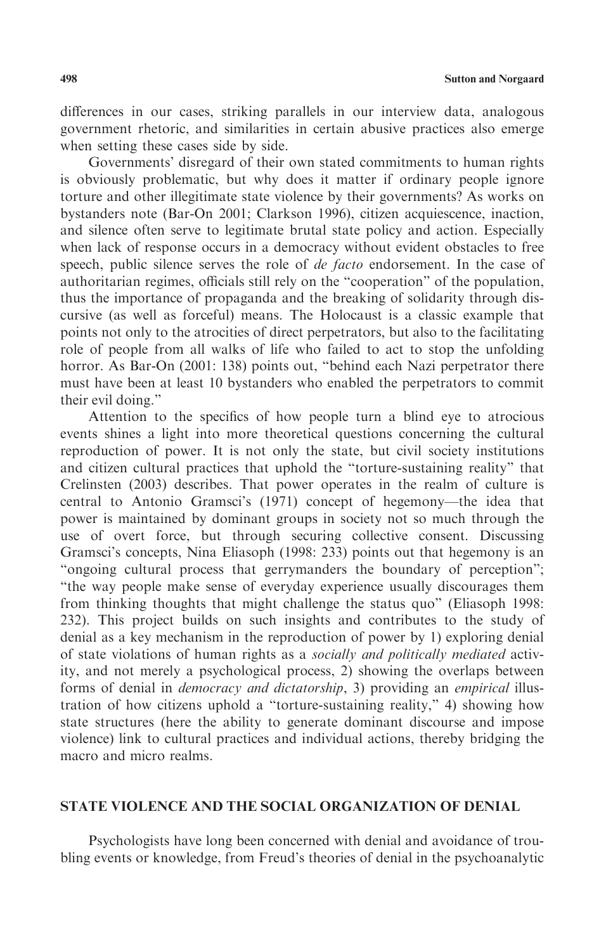498 Sutton and Norgaard

differences in our cases, striking parallels in our interview data, analogous government rhetoric, and similarities in certain abusive practices also emerge when setting these cases side by side.

Governments' disregard of their own stated commitments to human rights is obviously problematic, but why does it matter if ordinary people ignore torture and other illegitimate state violence by their governments? As works on bystanders note (Bar-On 2001; Clarkson 1996), citizen acquiescence, inaction, and silence often serve to legitimate brutal state policy and action. Especially when lack of response occurs in a democracy without evident obstacles to free speech, public silence serves the role of *de facto* endorsement. In the case of authoritarian regimes, officials still rely on the "cooperation" of the population, thus the importance of propaganda and the breaking of solidarity through discursive (as well as forceful) means. The Holocaust is a classic example that points not only to the atrocities of direct perpetrators, but also to the facilitating role of people from all walks of life who failed to act to stop the unfolding horror. As Bar-On (2001: 138) points out, "behind each Nazi perpetrator there must have been at least 10 bystanders who enabled the perpetrators to commit their evil doing."

Attention to the specifics of how people turn a blind eye to atrocious events shines a light into more theoretical questions concerning the cultural reproduction of power. It is not only the state, but civil society institutions and citizen cultural practices that uphold the "torture-sustaining reality" that Crelinsten (2003) describes. That power operates in the realm of culture is central to Antonio Gramsci's (1971) concept of hegemony—the idea that power is maintained by dominant groups in society not so much through the use of overt force, but through securing collective consent. Discussing Gramsci's concepts, Nina Eliasoph (1998: 233) points out that hegemony is an "ongoing cultural process that gerrymanders the boundary of perception"; "the way people make sense of everyday experience usually discourages them from thinking thoughts that might challenge the status quo" (Eliasoph 1998: 232). This project builds on such insights and contributes to the study of denial as a key mechanism in the reproduction of power by 1) exploring denial of state violations of human rights as a socially and politically mediated activity, and not merely a psychological process, 2) showing the overlaps between forms of denial in *democracy and dictatorship*, 3) providing an *empirical* illustration of how citizens uphold a "torture-sustaining reality," 4) showing how state structures (here the ability to generate dominant discourse and impose violence) link to cultural practices and individual actions, thereby bridging the macro and micro realms.

# STATE VIOLENCE AND THE SOCIAL ORGANIZATION OF DENIAL

Psychologists have long been concerned with denial and avoidance of troubling events or knowledge, from Freud's theories of denial in the psychoanalytic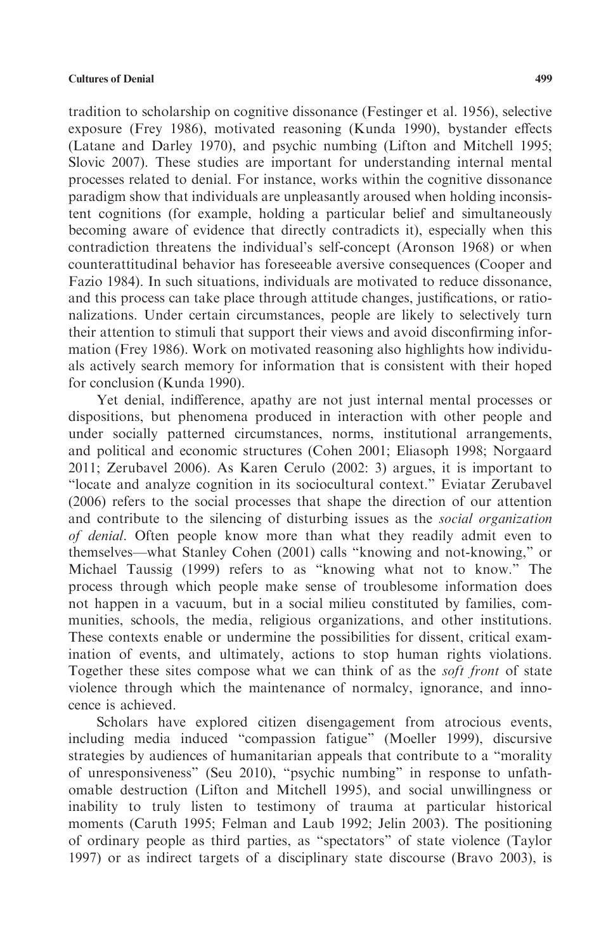tradition to scholarship on cognitive dissonance (Festinger et al. 1956), selective exposure (Frey 1986), motivated reasoning (Kunda 1990), bystander effects (Latane and Darley 1970), and psychic numbing (Lifton and Mitchell 1995; Slovic 2007). These studies are important for understanding internal mental processes related to denial. For instance, works within the cognitive dissonance paradigm show that individuals are unpleasantly aroused when holding inconsistent cognitions (for example, holding a particular belief and simultaneously becoming aware of evidence that directly contradicts it), especially when this contradiction threatens the individual's self-concept (Aronson 1968) or when counterattitudinal behavior has foreseeable aversive consequences (Cooper and Fazio 1984). In such situations, individuals are motivated to reduce dissonance, and this process can take place through attitude changes, justifications, or rationalizations. Under certain circumstances, people are likely to selectively turn their attention to stimuli that support their views and avoid disconfirming information (Frey 1986). Work on motivated reasoning also highlights how individuals actively search memory for information that is consistent with their hoped for conclusion (Kunda 1990).

Yet denial, indifference, apathy are not just internal mental processes or dispositions, but phenomena produced in interaction with other people and under socially patterned circumstances, norms, institutional arrangements, and political and economic structures (Cohen 2001; Eliasoph 1998; Norgaard 2011; Zerubavel 2006). As Karen Cerulo (2002: 3) argues, it is important to "locate and analyze cognition in its sociocultural context." Eviatar Zerubavel (2006) refers to the social processes that shape the direction of our attention and contribute to the silencing of disturbing issues as the social organization of denial. Often people know more than what they readily admit even to themselves—what Stanley Cohen (2001) calls "knowing and not-knowing," or Michael Taussig (1999) refers to as "knowing what not to know." The process through which people make sense of troublesome information does not happen in a vacuum, but in a social milieu constituted by families, communities, schools, the media, religious organizations, and other institutions. These contexts enable or undermine the possibilities for dissent, critical examination of events, and ultimately, actions to stop human rights violations. Together these sites compose what we can think of as the soft front of state violence through which the maintenance of normalcy, ignorance, and innocence is achieved.

Scholars have explored citizen disengagement from atrocious events, including media induced "compassion fatigue" (Moeller 1999), discursive strategies by audiences of humanitarian appeals that contribute to a "morality of unresponsiveness" (Seu 2010), "psychic numbing" in response to unfathomable destruction (Lifton and Mitchell 1995), and social unwillingness or inability to truly listen to testimony of trauma at particular historical moments (Caruth 1995; Felman and Laub 1992; Jelin 2003). The positioning of ordinary people as third parties, as "spectators" of state violence (Taylor 1997) or as indirect targets of a disciplinary state discourse (Bravo 2003), is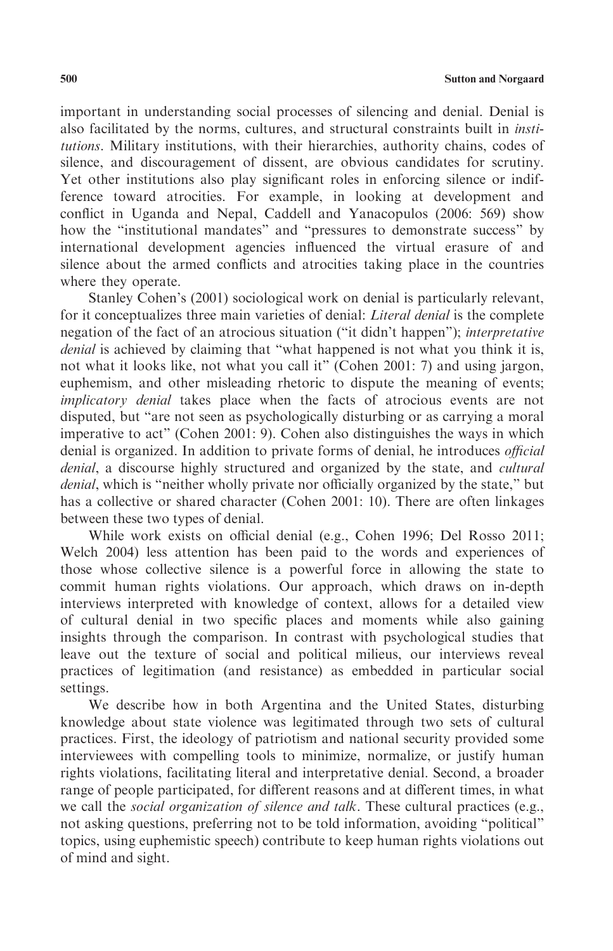important in understanding social processes of silencing and denial. Denial is also facilitated by the norms, cultures, and structural constraints built in institutions. Military institutions, with their hierarchies, authority chains, codes of silence, and discouragement of dissent, are obvious candidates for scrutiny. Yet other institutions also play significant roles in enforcing silence or indifference toward atrocities. For example, in looking at development and conflict in Uganda and Nepal, Caddell and Yanacopulos (2006: 569) show how the "institutional mandates" and "pressures to demonstrate success" by international development agencies influenced the virtual erasure of and silence about the armed conflicts and atrocities taking place in the countries where they operate.

Stanley Cohen's (2001) sociological work on denial is particularly relevant, for it conceptualizes three main varieties of denial: Literal denial is the complete negation of the fact of an atrocious situation ("it didn't happen"); interpretative denial is achieved by claiming that "what happened is not what you think it is, not what it looks like, not what you call it" (Cohen 2001: 7) and using jargon, euphemism, and other misleading rhetoric to dispute the meaning of events; implicatory denial takes place when the facts of atrocious events are not disputed, but "are not seen as psychologically disturbing or as carrying a moral imperative to act" (Cohen 2001: 9). Cohen also distinguishes the ways in which denial is organized. In addition to private forms of denial, he introduces official denial, a discourse highly structured and organized by the state, and cultural denial, which is "neither wholly private nor officially organized by the state," but has a collective or shared character (Cohen 2001: 10). There are often linkages between these two types of denial.

While work exists on official denial (e.g., Cohen 1996; Del Rosso 2011; Welch 2004) less attention has been paid to the words and experiences of those whose collective silence is a powerful force in allowing the state to commit human rights violations. Our approach, which draws on in-depth interviews interpreted with knowledge of context, allows for a detailed view of cultural denial in two specific places and moments while also gaining insights through the comparison. In contrast with psychological studies that leave out the texture of social and political milieus, our interviews reveal practices of legitimation (and resistance) as embedded in particular social settings.

We describe how in both Argentina and the United States, disturbing knowledge about state violence was legitimated through two sets of cultural practices. First, the ideology of patriotism and national security provided some interviewees with compelling tools to minimize, normalize, or justify human rights violations, facilitating literal and interpretative denial. Second, a broader range of people participated, for different reasons and at different times, in what we call the *social organization of silence and talk*. These cultural practices (e.g., not asking questions, preferring not to be told information, avoiding "political" topics, using euphemistic speech) contribute to keep human rights violations out of mind and sight.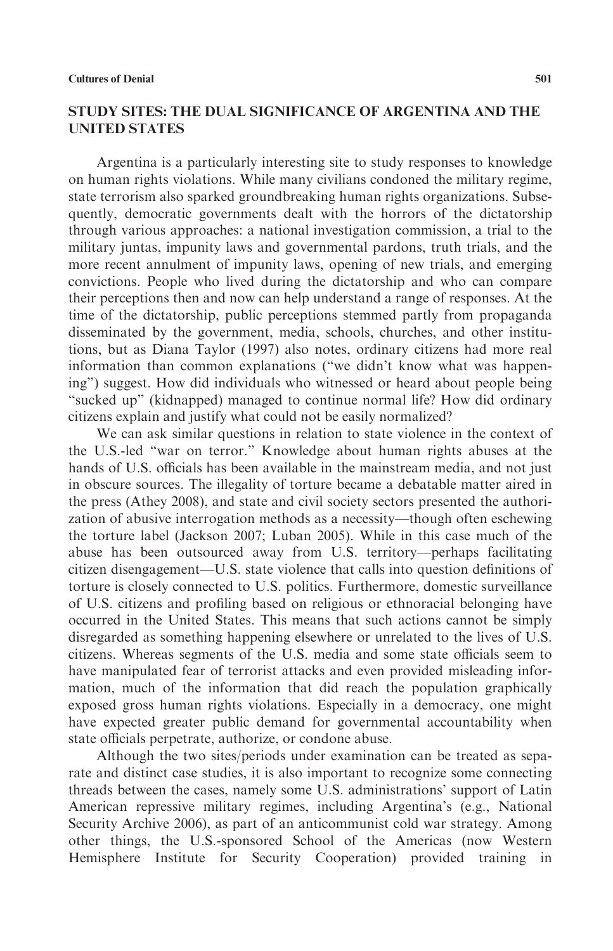# STUDY SITES: THE DUAL SIGNIFICANCE OF ARGENTINA AND THE UNITED STATES

Argentina is a particularly interesting site to study responses to knowledge on human rights violations. While many civilians condoned the military regime, state terrorism also sparked groundbreaking human rights organizations. Subsequently, democratic governments dealt with the horrors of the dictatorship through various approaches: a national investigation commission, a trial to the military juntas, impunity laws and governmental pardons, truth trials, and the more recent annulment of impunity laws, opening of new trials, and emerging convictions. People who lived during the dictatorship and who can compare their perceptions then and now can help understand a range of responses. At the time of the dictatorship, public perceptions stemmed partly from propaganda disseminated by the government, media, schools, churches, and other institutions, but as Diana Taylor (1997) also notes, ordinary citizens had more real information than common explanations ("we didn't know what was happening") suggest. How did individuals who witnessed or heard about people being "sucked up" (kidnapped) managed to continue normal life? How did ordinary citizens explain and justify what could not be easily normalized?

We can ask similar questions in relation to state violence in the context of the U.S.-led "war on terror." Knowledge about human rights abuses at the hands of U.S. officials has been available in the mainstream media, and not just in obscure sources. The illegality of torture became a debatable matter aired in the press (Athey 2008), and state and civil society sectors presented the authorization of abusive interrogation methods as a necessity—though often eschewing the torture label (Jackson 2007; Luban 2005). While in this case much of the abuse has been outsourced away from U.S. territory—perhaps facilitating citizen disengagement—U.S. state violence that calls into question definitions of torture is closely connected to U.S. politics. Furthermore, domestic surveillance of U.S. citizens and profiling based on religious or ethnoracial belonging have occurred in the United States. This means that such actions cannot be simply disregarded as something happening elsewhere or unrelated to the lives of U.S. citizens. Whereas segments of the U.S. media and some state officials seem to have manipulated fear of terrorist attacks and even provided misleading information, much of the information that did reach the population graphically exposed gross human rights violations. Especially in a democracy, one might have expected greater public demand for governmental accountability when state officials perpetrate, authorize, or condone abuse.

Although the two sites/periods under examination can be treated as separate and distinct case studies, it is also important to recognize some connecting threads between the cases, namely some U.S. administrations' support of Latin American repressive military regimes, including Argentina's (e.g., National Security Archive 2006), as part of an anticommunist cold war strategy. Among other things, the U.S.-sponsored School of the Americas (now Western Hemisphere Institute for Security Cooperation) provided training in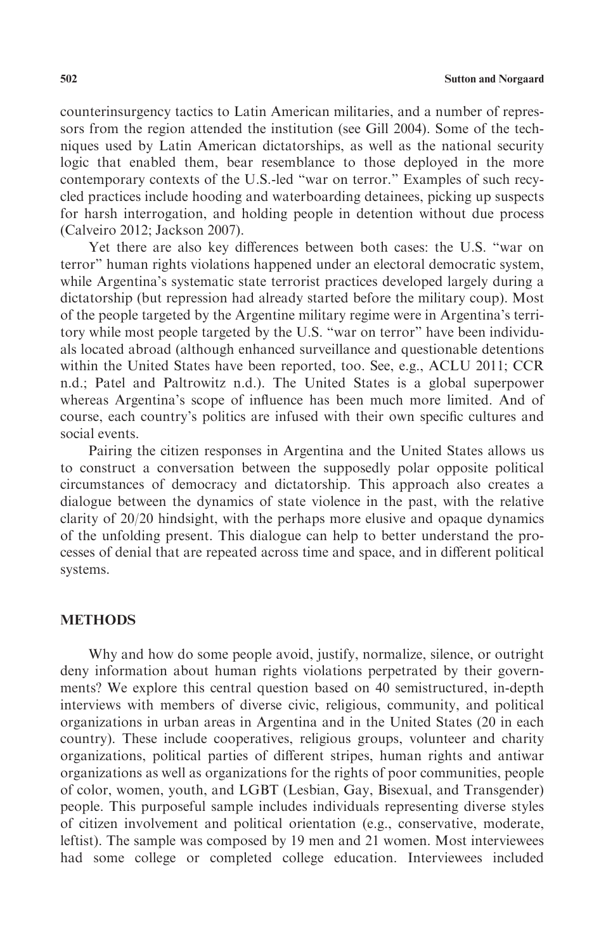counterinsurgency tactics to Latin American militaries, and a number of repressors from the region attended the institution (see Gill 2004). Some of the techniques used by Latin American dictatorships, as well as the national security logic that enabled them, bear resemblance to those deployed in the more contemporary contexts of the U.S.-led "war on terror." Examples of such recycled practices include hooding and waterboarding detainees, picking up suspects for harsh interrogation, and holding people in detention without due process (Calveiro 2012; Jackson 2007).

Yet there are also key differences between both cases: the U.S. "war on terror" human rights violations happened under an electoral democratic system, while Argentina's systematic state terrorist practices developed largely during a dictatorship (but repression had already started before the military coup). Most of the people targeted by the Argentine military regime were in Argentina's territory while most people targeted by the U.S. "war on terror" have been individuals located abroad (although enhanced surveillance and questionable detentions within the United States have been reported, too. See, e.g., ACLU 2011; CCR n.d.; Patel and Paltrowitz n.d.). The United States is a global superpower whereas Argentina's scope of influence has been much more limited. And of course, each country's politics are infused with their own specific cultures and social events.

Pairing the citizen responses in Argentina and the United States allows us to construct a conversation between the supposedly polar opposite political circumstances of democracy and dictatorship. This approach also creates a dialogue between the dynamics of state violence in the past, with the relative clarity of 20/20 hindsight, with the perhaps more elusive and opaque dynamics of the unfolding present. This dialogue can help to better understand the processes of denial that are repeated across time and space, and in different political systems.

# **METHODS**

Why and how do some people avoid, justify, normalize, silence, or outright deny information about human rights violations perpetrated by their governments? We explore this central question based on 40 semistructured, in-depth interviews with members of diverse civic, religious, community, and political organizations in urban areas in Argentina and in the United States (20 in each country). These include cooperatives, religious groups, volunteer and charity organizations, political parties of different stripes, human rights and antiwar organizations as well as organizations for the rights of poor communities, people of color, women, youth, and LGBT (Lesbian, Gay, Bisexual, and Transgender) people. This purposeful sample includes individuals representing diverse styles of citizen involvement and political orientation (e.g., conservative, moderate, leftist). The sample was composed by 19 men and 21 women. Most interviewees had some college or completed college education. Interviewees included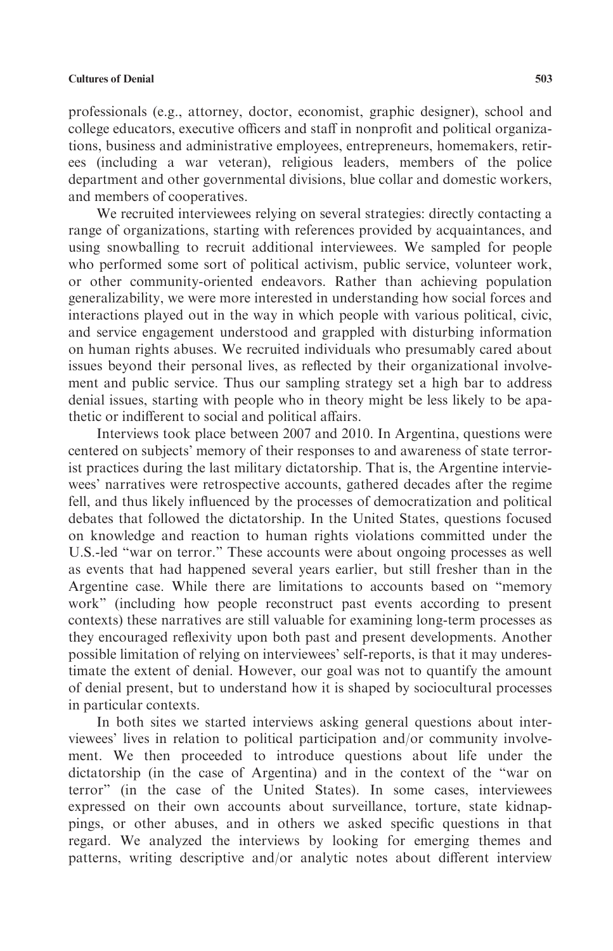professionals (e.g., attorney, doctor, economist, graphic designer), school and college educators, executive officers and staff in nonprofit and political organizations, business and administrative employees, entrepreneurs, homemakers, retirees (including a war veteran), religious leaders, members of the police department and other governmental divisions, blue collar and domestic workers, and members of cooperatives.

We recruited interviewees relying on several strategies: directly contacting a range of organizations, starting with references provided by acquaintances, and using snowballing to recruit additional interviewees. We sampled for people who performed some sort of political activism, public service, volunteer work, or other community-oriented endeavors. Rather than achieving population generalizability, we were more interested in understanding how social forces and interactions played out in the way in which people with various political, civic, and service engagement understood and grappled with disturbing information on human rights abuses. We recruited individuals who presumably cared about issues beyond their personal lives, as reflected by their organizational involvement and public service. Thus our sampling strategy set a high bar to address denial issues, starting with people who in theory might be less likely to be apathetic or indifferent to social and political affairs.

Interviews took place between 2007 and 2010. In Argentina, questions were centered on subjects' memory of their responses to and awareness of state terrorist practices during the last military dictatorship. That is, the Argentine interviewees' narratives were retrospective accounts, gathered decades after the regime fell, and thus likely influenced by the processes of democratization and political debates that followed the dictatorship. In the United States, questions focused on knowledge and reaction to human rights violations committed under the U.S.-led "war on terror." These accounts were about ongoing processes as well as events that had happened several years earlier, but still fresher than in the Argentine case. While there are limitations to accounts based on "memory work" (including how people reconstruct past events according to present contexts) these narratives are still valuable for examining long-term processes as they encouraged reflexivity upon both past and present developments. Another possible limitation of relying on interviewees' self-reports, is that it may underestimate the extent of denial. However, our goal was not to quantify the amount of denial present, but to understand how it is shaped by sociocultural processes in particular contexts.

In both sites we started interviews asking general questions about interviewees' lives in relation to political participation and/or community involvement. We then proceeded to introduce questions about life under the dictatorship (in the case of Argentina) and in the context of the "war on terror" (in the case of the United States). In some cases, interviewees expressed on their own accounts about surveillance, torture, state kidnappings, or other abuses, and in others we asked specific questions in that regard. We analyzed the interviews by looking for emerging themes and patterns, writing descriptive and/or analytic notes about different interview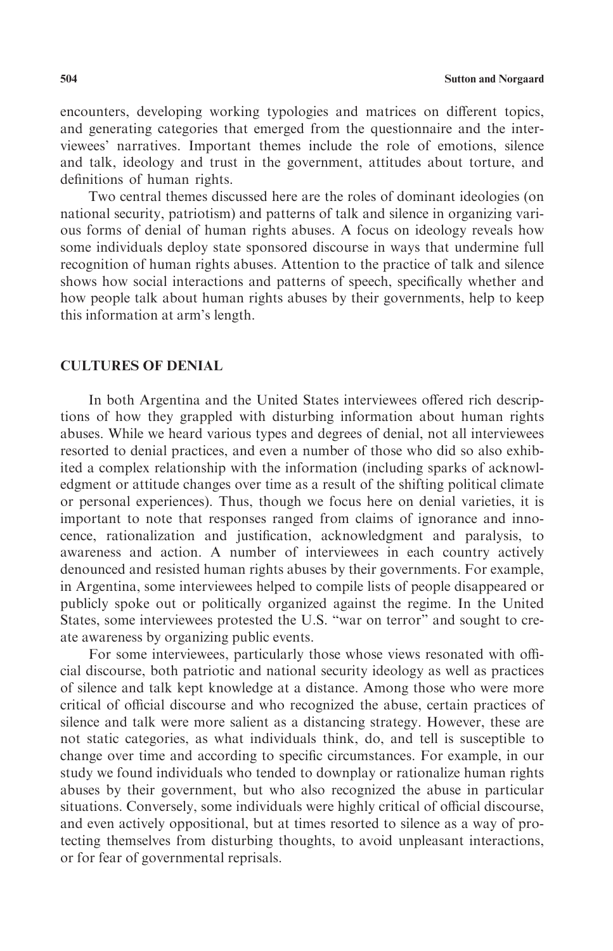encounters, developing working typologies and matrices on different topics, and generating categories that emerged from the questionnaire and the interviewees' narratives. Important themes include the role of emotions, silence and talk, ideology and trust in the government, attitudes about torture, and definitions of human rights.

Two central themes discussed here are the roles of dominant ideologies (on national security, patriotism) and patterns of talk and silence in organizing various forms of denial of human rights abuses. A focus on ideology reveals how some individuals deploy state sponsored discourse in ways that undermine full recognition of human rights abuses. Attention to the practice of talk and silence shows how social interactions and patterns of speech, specifically whether and how people talk about human rights abuses by their governments, help to keep this information at arm's length.

#### CULTURES OF DENIAL

In both Argentina and the United States interviewees offered rich descriptions of how they grappled with disturbing information about human rights abuses. While we heard various types and degrees of denial, not all interviewees resorted to denial practices, and even a number of those who did so also exhibited a complex relationship with the information (including sparks of acknowledgment or attitude changes over time as a result of the shifting political climate or personal experiences). Thus, though we focus here on denial varieties, it is important to note that responses ranged from claims of ignorance and innocence, rationalization and justification, acknowledgment and paralysis, to awareness and action. A number of interviewees in each country actively denounced and resisted human rights abuses by their governments. For example, in Argentina, some interviewees helped to compile lists of people disappeared or publicly spoke out or politically organized against the regime. In the United States, some interviewees protested the U.S. "war on terror" and sought to create awareness by organizing public events.

For some interviewees, particularly those whose views resonated with official discourse, both patriotic and national security ideology as well as practices of silence and talk kept knowledge at a distance. Among those who were more critical of official discourse and who recognized the abuse, certain practices of silence and talk were more salient as a distancing strategy. However, these are not static categories, as what individuals think, do, and tell is susceptible to change over time and according to specific circumstances. For example, in our study we found individuals who tended to downplay or rationalize human rights abuses by their government, but who also recognized the abuse in particular situations. Conversely, some individuals were highly critical of official discourse, and even actively oppositional, but at times resorted to silence as a way of protecting themselves from disturbing thoughts, to avoid unpleasant interactions, or for fear of governmental reprisals.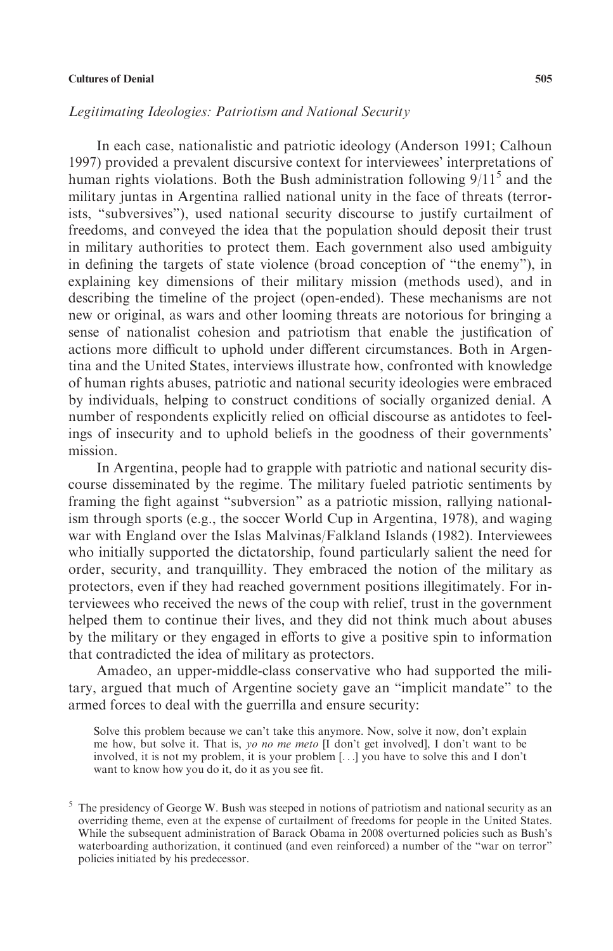# Legitimating Ideologies: Patriotism and National Security

In each case, nationalistic and patriotic ideology (Anderson 1991; Calhoun 1997) provided a prevalent discursive context for interviewees' interpretations of human rights violations. Both the Bush administration following  $9/11<sup>5</sup>$  and the military juntas in Argentina rallied national unity in the face of threats (terrorists, "subversives"), used national security discourse to justify curtailment of freedoms, and conveyed the idea that the population should deposit their trust in military authorities to protect them. Each government also used ambiguity in defining the targets of state violence (broad conception of "the enemy"), in explaining key dimensions of their military mission (methods used), and in describing the timeline of the project (open-ended). These mechanisms are not new or original, as wars and other looming threats are notorious for bringing a sense of nationalist cohesion and patriotism that enable the justification of actions more difficult to uphold under different circumstances. Both in Argentina and the United States, interviews illustrate how, confronted with knowledge of human rights abuses, patriotic and national security ideologies were embraced by individuals, helping to construct conditions of socially organized denial. A number of respondents explicitly relied on official discourse as antidotes to feelings of insecurity and to uphold beliefs in the goodness of their governments' mission.

In Argentina, people had to grapple with patriotic and national security discourse disseminated by the regime. The military fueled patriotic sentiments by framing the fight against "subversion" as a patriotic mission, rallying nationalism through sports (e.g., the soccer World Cup in Argentina, 1978), and waging war with England over the Islas Malvinas/Falkland Islands (1982). Interviewees who initially supported the dictatorship, found particularly salient the need for order, security, and tranquillity. They embraced the notion of the military as protectors, even if they had reached government positions illegitimately. For interviewees who received the news of the coup with relief, trust in the government helped them to continue their lives, and they did not think much about abuses by the military or they engaged in efforts to give a positive spin to information that contradicted the idea of military as protectors.

Amadeo, an upper-middle-class conservative who had supported the military, argued that much of Argentine society gave an "implicit mandate" to the armed forces to deal with the guerrilla and ensure security:

Solve this problem because we can't take this anymore. Now, solve it now, don't explain me how, but solve it. That is, yo no me meto [I don't get involved], I don't want to be involved, it is not my problem, it is your problem [...] you have to solve this and I don't want to know how you do it, do it as you see fit.

<sup>&</sup>lt;sup>5</sup> The presidency of George W. Bush was steeped in notions of patriotism and national security as an overriding theme, even at the expense of curtailment of freedoms for people in the United States. While the subsequent administration of Barack Obama in 2008 overturned policies such as Bush's waterboarding authorization, it continued (and even reinforced) a number of the "war on terror" policies initiated by his predecessor.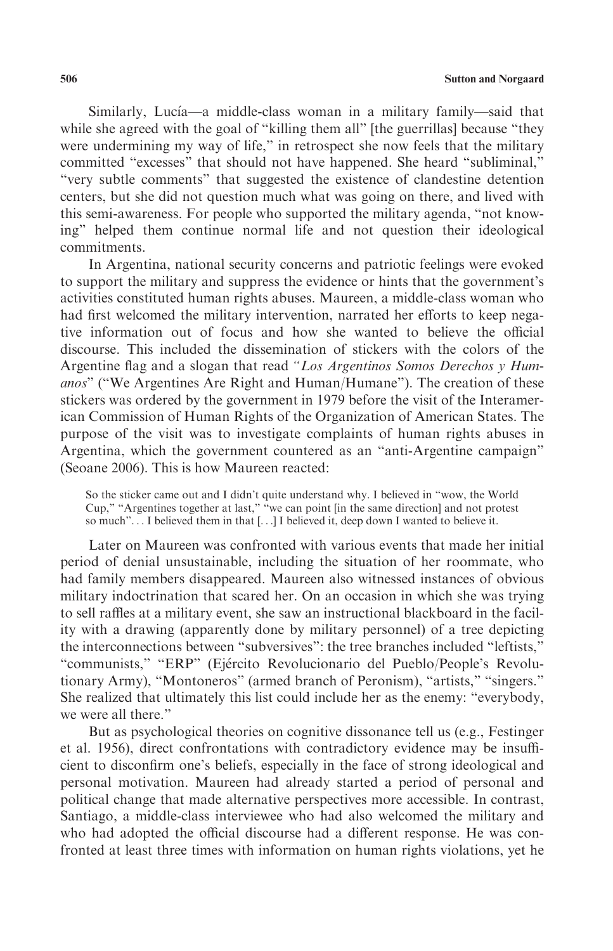Similarly, Lucía—a middle-class woman in a military family—said that while she agreed with the goal of "killing them all" [the guerrillas] because "they were undermining my way of life," in retrospect she now feels that the military committed "excesses" that should not have happened. She heard "subliminal," "very subtle comments" that suggested the existence of clandestine detention centers, but she did not question much what was going on there, and lived with this semi-awareness. For people who supported the military agenda, "not knowing" helped them continue normal life and not question their ideological commitments.

In Argentina, national security concerns and patriotic feelings were evoked to support the military and suppress the evidence or hints that the government's activities constituted human rights abuses. Maureen, a middle-class woman who had first welcomed the military intervention, narrated her efforts to keep negative information out of focus and how she wanted to believe the official discourse. This included the dissemination of stickers with the colors of the Argentine flag and a slogan that read "Los Argentinos Somos Derechos y Humanos" ("We Argentines Are Right and Human/Humane"). The creation of these stickers was ordered by the government in 1979 before the visit of the Interamerican Commission of Human Rights of the Organization of American States. The purpose of the visit was to investigate complaints of human rights abuses in Argentina, which the government countered as an "anti-Argentine campaign" (Seoane 2006). This is how Maureen reacted:

So the sticker came out and I didn't quite understand why. I believed in "wow, the World Cup," "Argentines together at last," "we can point [in the same direction] and not protest so much"... I believed them in that [...] I believed it, deep down I wanted to believe it.

Later on Maureen was confronted with various events that made her initial period of denial unsustainable, including the situation of her roommate, who had family members disappeared. Maureen also witnessed instances of obvious military indoctrination that scared her. On an occasion in which she was trying to sell raffles at a military event, she saw an instructional blackboard in the facility with a drawing (apparently done by military personnel) of a tree depicting the interconnections between "subversives": the tree branches included "leftists," "communists," "ERP" (Ejercito Revolucionario del Pueblo/People's Revolutionary Army), "Montoneros" (armed branch of Peronism), "artists," "singers." She realized that ultimately this list could include her as the enemy: "everybody, we were all there."

But as psychological theories on cognitive dissonance tell us (e.g., Festinger et al. 1956), direct confrontations with contradictory evidence may be insufficient to disconfirm one's beliefs, especially in the face of strong ideological and personal motivation. Maureen had already started a period of personal and political change that made alternative perspectives more accessible. In contrast, Santiago, a middle-class interviewee who had also welcomed the military and who had adopted the official discourse had a different response. He was confronted at least three times with information on human rights violations, yet he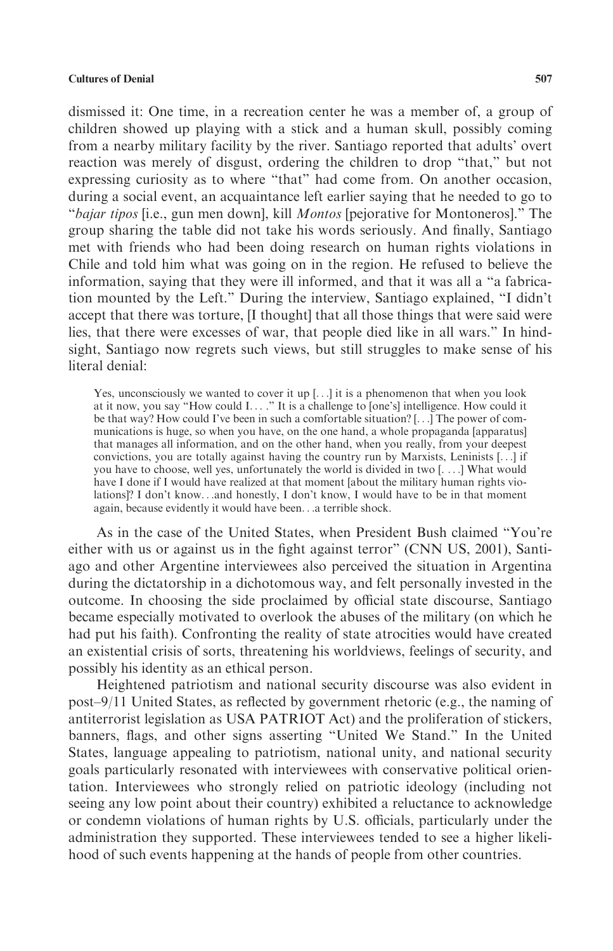dismissed it: One time, in a recreation center he was a member of, a group of children showed up playing with a stick and a human skull, possibly coming from a nearby military facility by the river. Santiago reported that adults' overt reaction was merely of disgust, ordering the children to drop "that," but not expressing curiosity as to where "that" had come from. On another occasion, during a social event, an acquaintance left earlier saying that he needed to go to "*bajar tipos* [i.e., gun men down], kill *Montos* [pejorative for Montoneros]." The group sharing the table did not take his words seriously. And finally, Santiago met with friends who had been doing research on human rights violations in Chile and told him what was going on in the region. He refused to believe the information, saying that they were ill informed, and that it was all a "a fabrication mounted by the Left." During the interview, Santiago explained, "I didn't accept that there was torture, [I thought] that all those things that were said were lies, that there were excesses of war, that people died like in all wars." In hindsight, Santiago now regrets such views, but still struggles to make sense of his literal denial:

Yes, unconsciously we wanted to cover it up [...] it is a phenomenon that when you look at it now, you say "How could I... ." It is a challenge to [one's] intelligence. How could it be that way? How could I've been in such a comfortable situation? [...] The power of communications is huge, so when you have, on the one hand, a whole propaganda [apparatus] that manages all information, and on the other hand, when you really, from your deepest convictions, you are totally against having the country run by Marxists, Leninists [...] if you have to choose, well yes, unfortunately the world is divided in two [. ...] What would have I done if I would have realized at that moment [about the military human rights violations]? I don't know...and honestly, I don't know, I would have to be in that moment again, because evidently it would have been...a terrible shock.

As in the case of the United States, when President Bush claimed "You're either with us or against us in the fight against terror" (CNN US, 2001), Santiago and other Argentine interviewees also perceived the situation in Argentina during the dictatorship in a dichotomous way, and felt personally invested in the outcome. In choosing the side proclaimed by official state discourse, Santiago became especially motivated to overlook the abuses of the military (on which he had put his faith). Confronting the reality of state atrocities would have created an existential crisis of sorts, threatening his worldviews, feelings of security, and possibly his identity as an ethical person.

Heightened patriotism and national security discourse was also evident in post–9/11 United States, as reflected by government rhetoric (e.g., the naming of antiterrorist legislation as USA PATRIOT Act) and the proliferation of stickers, banners, flags, and other signs asserting "United We Stand." In the United States, language appealing to patriotism, national unity, and national security goals particularly resonated with interviewees with conservative political orientation. Interviewees who strongly relied on patriotic ideology (including not seeing any low point about their country) exhibited a reluctance to acknowledge or condemn violations of human rights by U.S. officials, particularly under the administration they supported. These interviewees tended to see a higher likelihood of such events happening at the hands of people from other countries.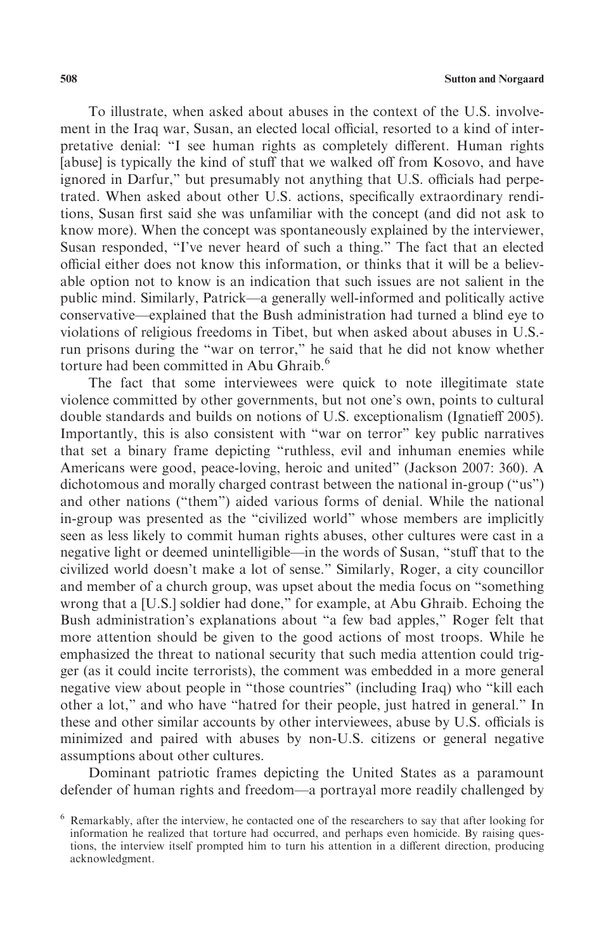To illustrate, when asked about abuses in the context of the U.S. involvement in the Iraq war, Susan, an elected local official, resorted to a kind of interpretative denial: "I see human rights as completely different. Human rights [abuse] is typically the kind of stuff that we walked off from Kosovo, and have ignored in Darfur," but presumably not anything that U.S. officials had perpetrated. When asked about other U.S. actions, specifically extraordinary renditions, Susan first said she was unfamiliar with the concept (and did not ask to know more). When the concept was spontaneously explained by the interviewer, Susan responded, "I've never heard of such a thing." The fact that an elected official either does not know this information, or thinks that it will be a believable option not to know is an indication that such issues are not salient in the public mind. Similarly, Patrick—a generally well-informed and politically active conservative—explained that the Bush administration had turned a blind eye to violations of religious freedoms in Tibet, but when asked about abuses in U.S. run prisons during the "war on terror," he said that he did not know whether torture had been committed in Abu Ghraib.<sup>6</sup>

The fact that some interviewees were quick to note illegitimate state violence committed by other governments, but not one's own, points to cultural double standards and builds on notions of U.S. exceptionalism (Ignatieff 2005). Importantly, this is also consistent with "war on terror" key public narratives that set a binary frame depicting "ruthless, evil and inhuman enemies while Americans were good, peace-loving, heroic and united" (Jackson 2007: 360). A dichotomous and morally charged contrast between the national in-group ("us") and other nations ("them") aided various forms of denial. While the national in-group was presented as the "civilized world" whose members are implicitly seen as less likely to commit human rights abuses, other cultures were cast in a negative light or deemed unintelligible—in the words of Susan, "stuff that to the civilized world doesn't make a lot of sense." Similarly, Roger, a city councillor and member of a church group, was upset about the media focus on "something wrong that a [U.S.] soldier had done," for example, at Abu Ghraib. Echoing the Bush administration's explanations about "a few bad apples," Roger felt that more attention should be given to the good actions of most troops. While he emphasized the threat to national security that such media attention could trigger (as it could incite terrorists), the comment was embedded in a more general negative view about people in "those countries" (including Iraq) who "kill each other a lot," and who have "hatred for their people, just hatred in general." In these and other similar accounts by other interviewees, abuse by U.S. officials is minimized and paired with abuses by non-U.S. citizens or general negative assumptions about other cultures.

Dominant patriotic frames depicting the United States as a paramount defender of human rights and freedom—a portrayal more readily challenged by

<sup>6</sup> Remarkably, after the interview, he contacted one of the researchers to say that after looking for information he realized that torture had occurred, and perhaps even homicide. By raising questions, the interview itself prompted him to turn his attention in a different direction, producing acknowledgment.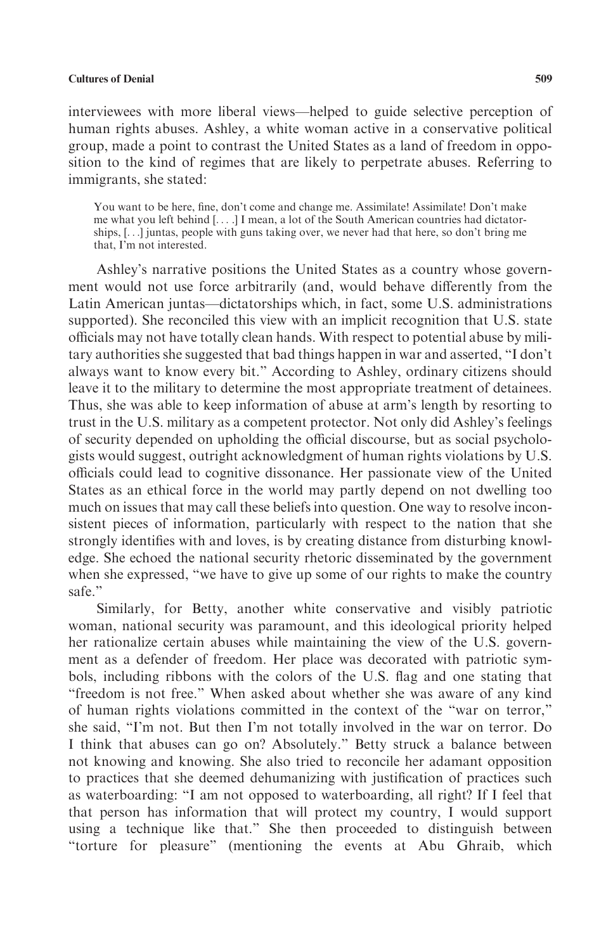interviewees with more liberal views—helped to guide selective perception of human rights abuses. Ashley, a white woman active in a conservative political group, made a point to contrast the United States as a land of freedom in opposition to the kind of regimes that are likely to perpetrate abuses. Referring to immigrants, she stated:

You want to be here, fine, don't come and change me. Assimilate! Assimilate! Don't make me what you left behind [... .] I mean, a lot of the South American countries had dictatorships, [...] juntas, people with guns taking over, we never had that here, so don't bring me that, I'm not interested.

Ashley's narrative positions the United States as a country whose government would not use force arbitrarily (and, would behave differently from the Latin American juntas—dictatorships which, in fact, some U.S. administrations supported). She reconciled this view with an implicit recognition that U.S. state officials may not have totally clean hands. With respect to potential abuse by military authorities she suggested that bad things happen in war and asserted, "I don't always want to know every bit." According to Ashley, ordinary citizens should leave it to the military to determine the most appropriate treatment of detainees. Thus, she was able to keep information of abuse at arm's length by resorting to trust in the U.S. military as a competent protector. Not only did Ashley's feelings of security depended on upholding the official discourse, but as social psychologists would suggest, outright acknowledgment of human rights violations by U.S. officials could lead to cognitive dissonance. Her passionate view of the United States as an ethical force in the world may partly depend on not dwelling too much on issues that may call these beliefs into question. One way to resolve inconsistent pieces of information, particularly with respect to the nation that she strongly identifies with and loves, is by creating distance from disturbing knowledge. She echoed the national security rhetoric disseminated by the government when she expressed, "we have to give up some of our rights to make the country safe"

Similarly, for Betty, another white conservative and visibly patriotic woman, national security was paramount, and this ideological priority helped her rationalize certain abuses while maintaining the view of the U.S. government as a defender of freedom. Her place was decorated with patriotic symbols, including ribbons with the colors of the U.S. flag and one stating that "freedom is not free." When asked about whether she was aware of any kind of human rights violations committed in the context of the "war on terror," she said, "I'm not. But then I'm not totally involved in the war on terror. Do I think that abuses can go on? Absolutely." Betty struck a balance between not knowing and knowing. She also tried to reconcile her adamant opposition to practices that she deemed dehumanizing with justification of practices such as waterboarding: "I am not opposed to waterboarding, all right? If I feel that that person has information that will protect my country, I would support using a technique like that." She then proceeded to distinguish between "torture for pleasure" (mentioning the events at Abu Ghraib, which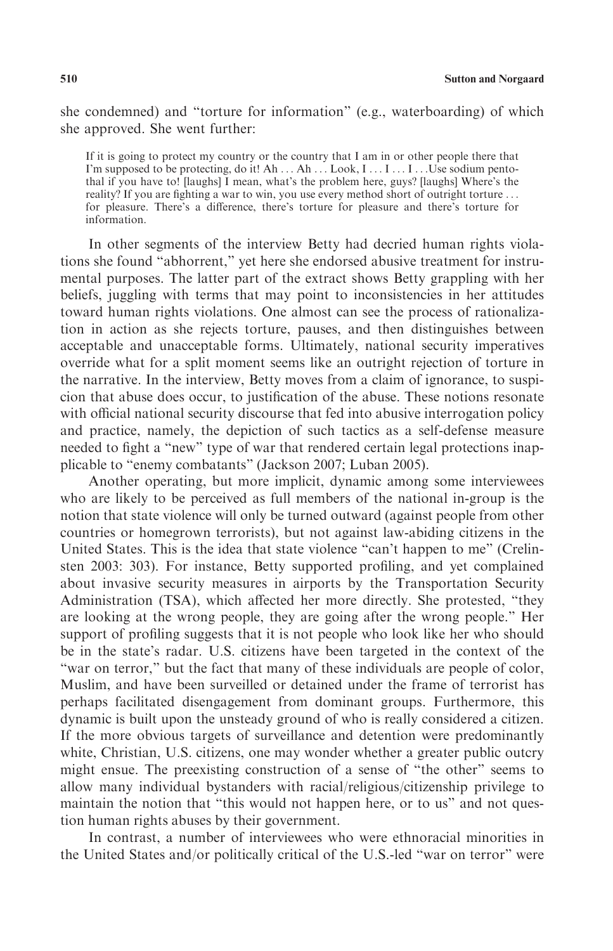she condemned) and "torture for information" (e.g., waterboarding) of which she approved. She went further:

If it is going to protect my country or the country that I am in or other people there that I'm supposed to be protecting, do it! Ah ... Ah ... Look, I ... I ... I ... Use sodium pentothal if you have to!  $\lceil$ laughs $\rceil$ I mean, what's the problem here, guys?  $\lceil$ laughs $\rceil$  Where's the reality? If you are fighting a war to win, you use every method short of outright torture ... for pleasure. There's a difference, there's torture for pleasure and there's torture for information.

In other segments of the interview Betty had decried human rights violations she found "abhorrent," yet here she endorsed abusive treatment for instrumental purposes. The latter part of the extract shows Betty grappling with her beliefs, juggling with terms that may point to inconsistencies in her attitudes toward human rights violations. One almost can see the process of rationalization in action as she rejects torture, pauses, and then distinguishes between acceptable and unacceptable forms. Ultimately, national security imperatives override what for a split moment seems like an outright rejection of torture in the narrative. In the interview, Betty moves from a claim of ignorance, to suspicion that abuse does occur, to justification of the abuse. These notions resonate with official national security discourse that fed into abusive interrogation policy and practice, namely, the depiction of such tactics as a self-defense measure needed to fight a "new" type of war that rendered certain legal protections inapplicable to "enemy combatants" (Jackson 2007; Luban 2005).

Another operating, but more implicit, dynamic among some interviewees who are likely to be perceived as full members of the national in-group is the notion that state violence will only be turned outward (against people from other countries or homegrown terrorists), but not against law-abiding citizens in the United States. This is the idea that state violence "can't happen to me" (Crelinsten 2003: 303). For instance, Betty supported profiling, and yet complained about invasive security measures in airports by the Transportation Security Administration (TSA), which affected her more directly. She protested, "they are looking at the wrong people, they are going after the wrong people." Her support of profiling suggests that it is not people who look like her who should be in the state's radar. U.S. citizens have been targeted in the context of the "war on terror," but the fact that many of these individuals are people of color, Muslim, and have been surveilled or detained under the frame of terrorist has perhaps facilitated disengagement from dominant groups. Furthermore, this dynamic is built upon the unsteady ground of who is really considered a citizen. If the more obvious targets of surveillance and detention were predominantly white, Christian, U.S. citizens, one may wonder whether a greater public outcry might ensue. The preexisting construction of a sense of "the other" seems to allow many individual bystanders with racial/religious/citizenship privilege to maintain the notion that "this would not happen here, or to us" and not question human rights abuses by their government.

In contrast, a number of interviewees who were ethnoracial minorities in the United States and/or politically critical of the U.S.-led "war on terror" were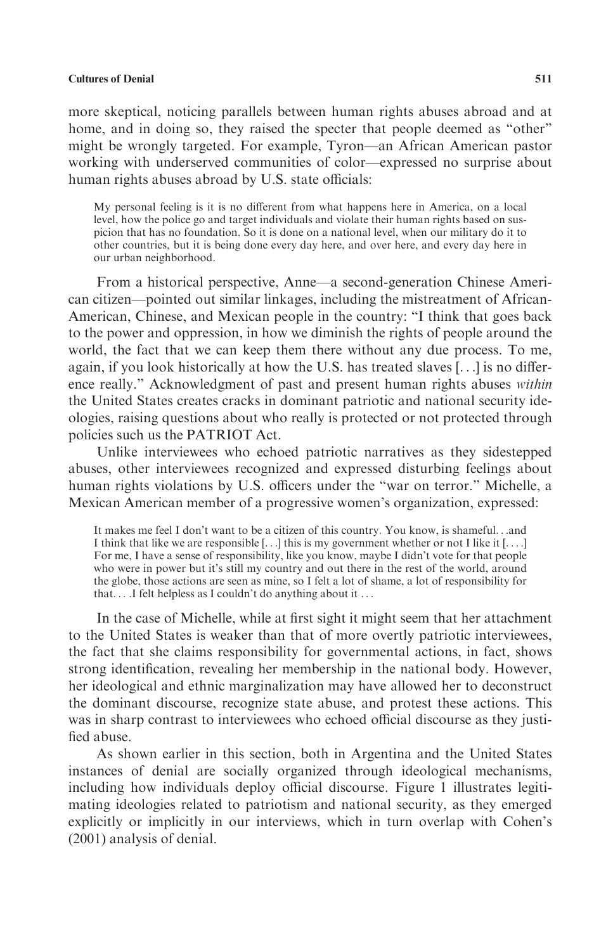more skeptical, noticing parallels between human rights abuses abroad and at home, and in doing so, they raised the specter that people deemed as "other" might be wrongly targeted. For example, Tyron—an African American pastor working with underserved communities of color—expressed no surprise about human rights abuses abroad by U.S. state officials:

My personal feeling is it is no different from what happens here in America, on a local level, how the police go and target individuals and violate their human rights based on suspicion that has no foundation. So it is done on a national level, when our military do it to other countries, but it is being done every day here, and over here, and every day here in our urban neighborhood.

From a historical perspective, Anne—a second-generation Chinese American citizen—pointed out similar linkages, including the mistreatment of African-American, Chinese, and Mexican people in the country: "I think that goes back to the power and oppression, in how we diminish the rights of people around the world, the fact that we can keep them there without any due process. To me, again, if you look historically at how the U.S. has treated slaves [...] is no difference really." Acknowledgment of past and present human rights abuses within the United States creates cracks in dominant patriotic and national security ideologies, raising questions about who really is protected or not protected through policies such us the PATRIOT Act.

Unlike interviewees who echoed patriotic narratives as they sidestepped abuses, other interviewees recognized and expressed disturbing feelings about human rights violations by U.S. officers under the "war on terror." Michelle, a Mexican American member of a progressive women's organization, expressed:

It makes me feel I don't want to be a citizen of this country. You know, is shameful...and I think that like we are responsible [...] this is my government whether or not I like it [... .] For me, I have a sense of responsibility, like you know, maybe I didn't vote for that people who were in power but it's still my country and out there in the rest of the world, around the globe, those actions are seen as mine, so I felt a lot of shame, a lot of responsibility for that... .I felt helpless as I couldn't do anything about it ...

In the case of Michelle, while at first sight it might seem that her attachment to the United States is weaker than that of more overtly patriotic interviewees, the fact that she claims responsibility for governmental actions, in fact, shows strong identification, revealing her membership in the national body. However, her ideological and ethnic marginalization may have allowed her to deconstruct the dominant discourse, recognize state abuse, and protest these actions. This was in sharp contrast to interviewees who echoed official discourse as they justified abuse.

As shown earlier in this section, both in Argentina and the United States instances of denial are socially organized through ideological mechanisms, including how individuals deploy official discourse. Figure 1 illustrates legitimating ideologies related to patriotism and national security, as they emerged explicitly or implicitly in our interviews, which in turn overlap with Cohen's (2001) analysis of denial.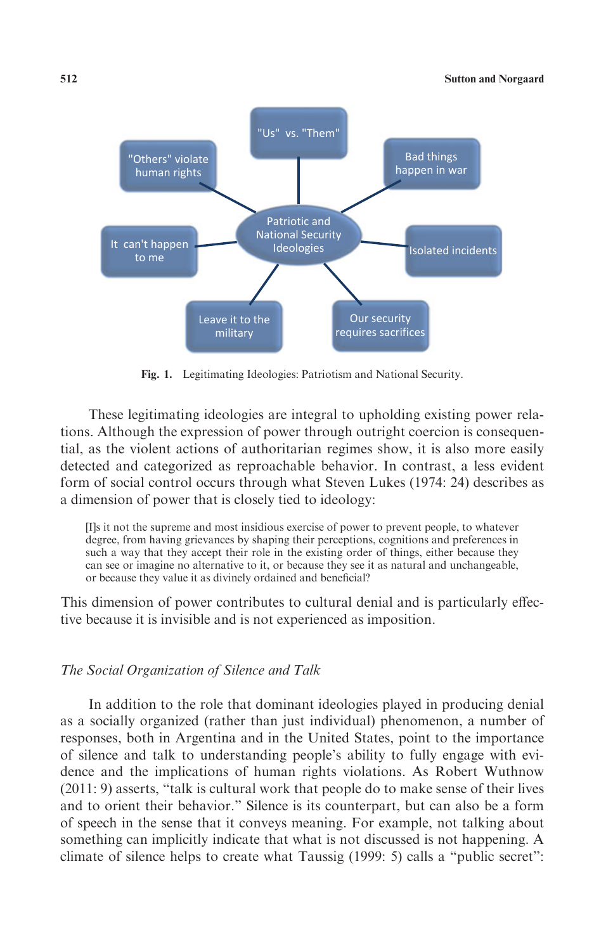

Fig. 1. Legitimating Ideologies: Patriotism and National Security.

These legitimating ideologies are integral to upholding existing power relations. Although the expression of power through outright coercion is consequential, as the violent actions of authoritarian regimes show, it is also more easily detected and categorized as reproachable behavior. In contrast, a less evident form of social control occurs through what Steven Lukes (1974: 24) describes as a dimension of power that is closely tied to ideology:

[I]s it not the supreme and most insidious exercise of power to prevent people, to whatever degree, from having grievances by shaping their perceptions, cognitions and preferences in such a way that they accept their role in the existing order of things, either because they can see or imagine no alternative to it, or because they see it as natural and unchangeable, or because they value it as divinely ordained and beneficial?

This dimension of power contributes to cultural denial and is particularly effective because it is invisible and is not experienced as imposition.

# The Social Organization of Silence and Talk

In addition to the role that dominant ideologies played in producing denial as a socially organized (rather than just individual) phenomenon, a number of responses, both in Argentina and in the United States, point to the importance of silence and talk to understanding people's ability to fully engage with evidence and the implications of human rights violations. As Robert Wuthnow (2011: 9) asserts, "talk is cultural work that people do to make sense of their lives and to orient their behavior." Silence is its counterpart, but can also be a form of speech in the sense that it conveys meaning. For example, not talking about something can implicitly indicate that what is not discussed is not happening. A climate of silence helps to create what Taussig (1999: 5) calls a "public secret":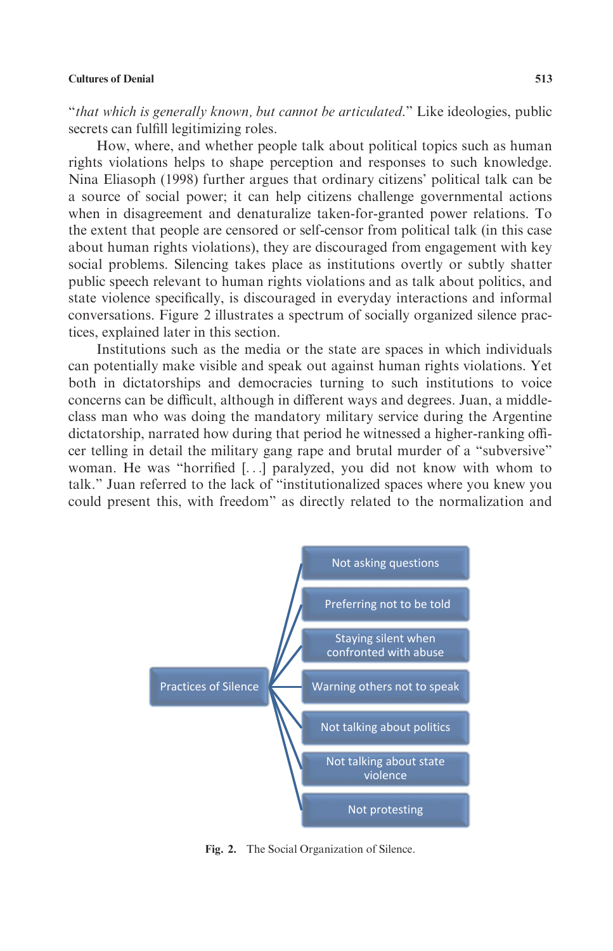"that which is generally known, but cannot be articulated." Like ideologies, public secrets can fulfill legitimizing roles.

How, where, and whether people talk about political topics such as human rights violations helps to shape perception and responses to such knowledge. Nina Eliasoph (1998) further argues that ordinary citizens' political talk can be a source of social power; it can help citizens challenge governmental actions when in disagreement and denaturalize taken-for-granted power relations. To the extent that people are censored or self-censor from political talk (in this case about human rights violations), they are discouraged from engagement with key social problems. Silencing takes place as institutions overtly or subtly shatter public speech relevant to human rights violations and as talk about politics, and state violence specifically, is discouraged in everyday interactions and informal conversations. Figure 2 illustrates a spectrum of socially organized silence practices, explained later in this section.

Institutions such as the media or the state are spaces in which individuals can potentially make visible and speak out against human rights violations. Yet both in dictatorships and democracies turning to such institutions to voice concerns can be difficult, although in different ways and degrees. Juan, a middleclass man who was doing the mandatory military service during the Argentine dictatorship, narrated how during that period he witnessed a higher-ranking officer telling in detail the military gang rape and brutal murder of a "subversive" woman. He was "horrified [...] paralyzed, you did not know with whom to talk." Juan referred to the lack of "institutionalized spaces where you knew you could present this, with freedom" as directly related to the normalization and



Fig. 2. The Social Organization of Silence.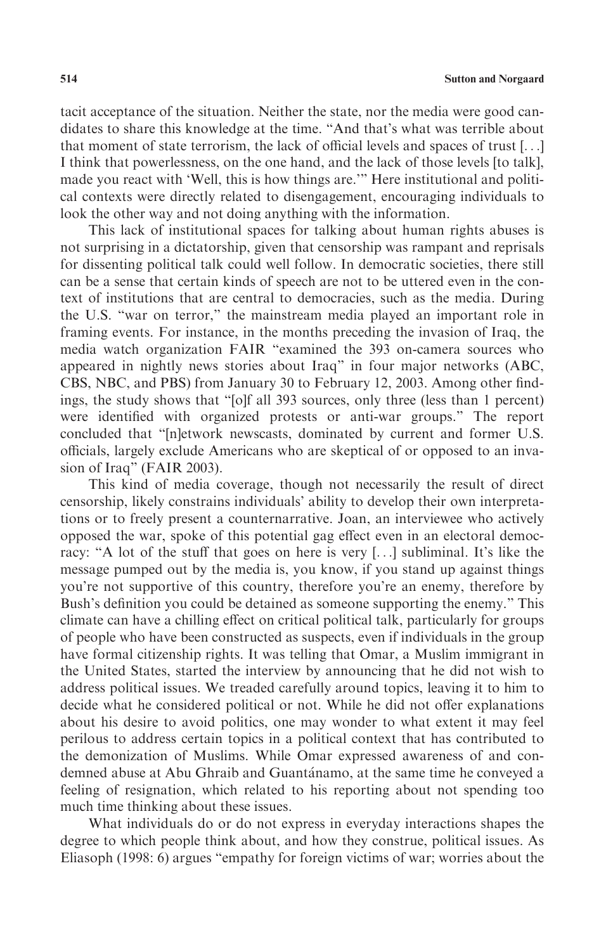tacit acceptance of the situation. Neither the state, nor the media were good candidates to share this knowledge at the time. "And that's what was terrible about that moment of state terrorism, the lack of official levels and spaces of trust [...] I think that powerlessness, on the one hand, and the lack of those levels [to talk], made you react with 'Well, this is how things are.'" Here institutional and political contexts were directly related to disengagement, encouraging individuals to look the other way and not doing anything with the information.

This lack of institutional spaces for talking about human rights abuses is not surprising in a dictatorship, given that censorship was rampant and reprisals for dissenting political talk could well follow. In democratic societies, there still can be a sense that certain kinds of speech are not to be uttered even in the context of institutions that are central to democracies, such as the media. During the U.S. "war on terror," the mainstream media played an important role in framing events. For instance, in the months preceding the invasion of Iraq, the media watch organization FAIR "examined the 393 on-camera sources who appeared in nightly news stories about Iraq" in four major networks (ABC, CBS, NBC, and PBS) from January 30 to February 12, 2003. Among other findings, the study shows that "[o]f all 393 sources, only three (less than 1 percent) were identified with organized protests or anti-war groups." The report concluded that "[n]etwork newscasts, dominated by current and former U.S. officials, largely exclude Americans who are skeptical of or opposed to an invasion of Iraq" (FAIR 2003).

This kind of media coverage, though not necessarily the result of direct censorship, likely constrains individuals' ability to develop their own interpretations or to freely present a counternarrative. Joan, an interviewee who actively opposed the war, spoke of this potential gag effect even in an electoral democracy: "A lot of the stuff that goes on here is very [...] subliminal. It's like the message pumped out by the media is, you know, if you stand up against things you're not supportive of this country, therefore you're an enemy, therefore by Bush's definition you could be detained as someone supporting the enemy." This climate can have a chilling effect on critical political talk, particularly for groups of people who have been constructed as suspects, even if individuals in the group have formal citizenship rights. It was telling that Omar, a Muslim immigrant in the United States, started the interview by announcing that he did not wish to address political issues. We treaded carefully around topics, leaving it to him to decide what he considered political or not. While he did not offer explanations about his desire to avoid politics, one may wonder to what extent it may feel perilous to address certain topics in a political context that has contributed to the demonization of Muslims. While Omar expressed awareness of and condemned abuse at Abu Ghraib and Guantánamo, at the same time he conveyed a feeling of resignation, which related to his reporting about not spending too much time thinking about these issues.

What individuals do or do not express in everyday interactions shapes the degree to which people think about, and how they construe, political issues. As Eliasoph (1998: 6) argues "empathy for foreign victims of war; worries about the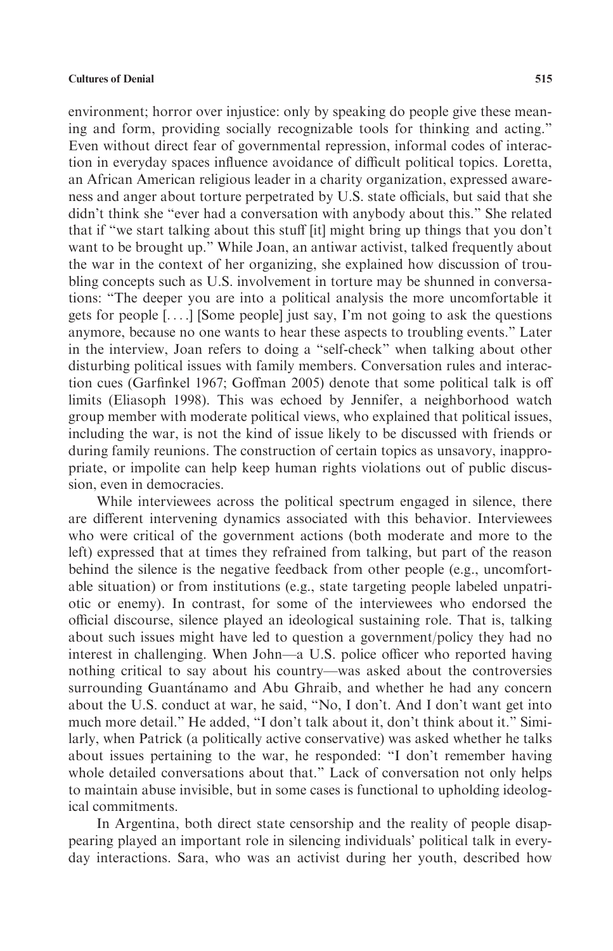environment; horror over injustice: only by speaking do people give these meaning and form, providing socially recognizable tools for thinking and acting." Even without direct fear of governmental repression, informal codes of interaction in everyday spaces influence avoidance of difficult political topics. Loretta, an African American religious leader in a charity organization, expressed awareness and anger about torture perpetrated by U.S. state officials, but said that she didn't think she "ever had a conversation with anybody about this." She related that if "we start talking about this stuff [it] might bring up things that you don't want to be brought up." While Joan, an antiwar activist, talked frequently about the war in the context of her organizing, she explained how discussion of troubling concepts such as U.S. involvement in torture may be shunned in conversations: "The deeper you are into a political analysis the more uncomfortable it gets for people [... .] [Some people] just say, I'm not going to ask the questions anymore, because no one wants to hear these aspects to troubling events." Later in the interview, Joan refers to doing a "self-check" when talking about other disturbing political issues with family members. Conversation rules and interaction cues (Garfinkel 1967; Goffman 2005) denote that some political talk is off limits (Eliasoph 1998). This was echoed by Jennifer, a neighborhood watch group member with moderate political views, who explained that political issues, including the war, is not the kind of issue likely to be discussed with friends or during family reunions. The construction of certain topics as unsavory, inappropriate, or impolite can help keep human rights violations out of public discussion, even in democracies.

While interviewees across the political spectrum engaged in silence, there are different intervening dynamics associated with this behavior. Interviewees who were critical of the government actions (both moderate and more to the left) expressed that at times they refrained from talking, but part of the reason behind the silence is the negative feedback from other people (e.g., uncomfortable situation) or from institutions (e.g., state targeting people labeled unpatriotic or enemy). In contrast, for some of the interviewees who endorsed the official discourse, silence played an ideological sustaining role. That is, talking about such issues might have led to question a government/policy they had no interest in challenging. When John—a U.S. police officer who reported having nothing critical to say about his country—was asked about the controversies surrounding Guantánamo and Abu Ghraib, and whether he had any concern about the U.S. conduct at war, he said, "No, I don't. And I don't want get into much more detail." He added, "I don't talk about it, don't think about it." Similarly, when Patrick (a politically active conservative) was asked whether he talks about issues pertaining to the war, he responded: "I don't remember having whole detailed conversations about that." Lack of conversation not only helps to maintain abuse invisible, but in some cases is functional to upholding ideological commitments.

In Argentina, both direct state censorship and the reality of people disappearing played an important role in silencing individuals' political talk in everyday interactions. Sara, who was an activist during her youth, described how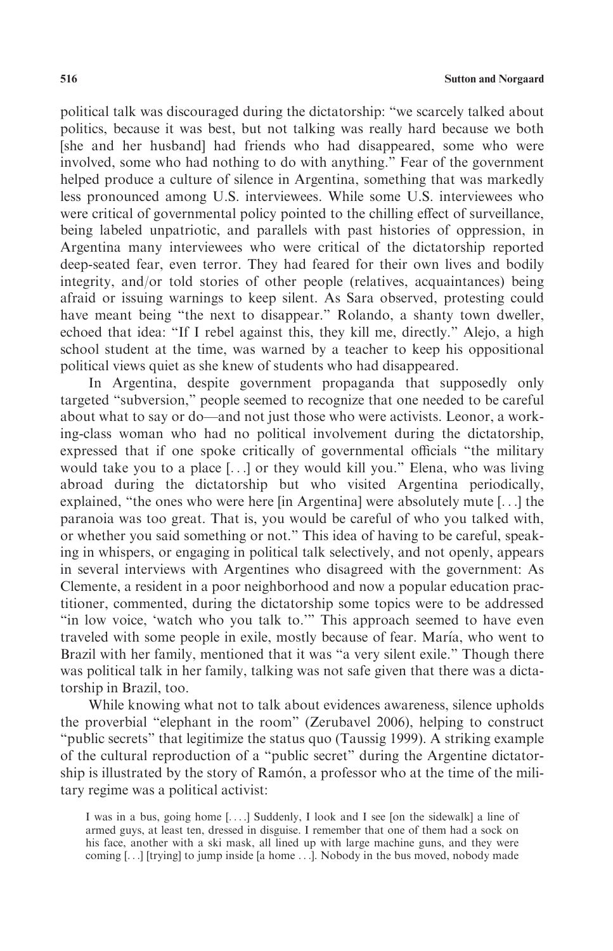political talk was discouraged during the dictatorship: "we scarcely talked about politics, because it was best, but not talking was really hard because we both [she and her husband] had friends who had disappeared, some who were involved, some who had nothing to do with anything." Fear of the government helped produce a culture of silence in Argentina, something that was markedly less pronounced among U.S. interviewees. While some U.S. interviewees who were critical of governmental policy pointed to the chilling effect of surveillance, being labeled unpatriotic, and parallels with past histories of oppression, in Argentina many interviewees who were critical of the dictatorship reported deep-seated fear, even terror. They had feared for their own lives and bodily integrity, and/or told stories of other people (relatives, acquaintances) being afraid or issuing warnings to keep silent. As Sara observed, protesting could have meant being "the next to disappear." Rolando, a shanty town dweller, echoed that idea: "If I rebel against this, they kill me, directly." Alejo, a high school student at the time, was warned by a teacher to keep his oppositional political views quiet as she knew of students who had disappeared.

In Argentina, despite government propaganda that supposedly only targeted "subversion," people seemed to recognize that one needed to be careful about what to say or do—and not just those who were activists. Leonor, a working-class woman who had no political involvement during the dictatorship, expressed that if one spoke critically of governmental officials "the military would take you to a place [...] or they would kill you." Elena, who was living abroad during the dictatorship but who visited Argentina periodically, explained, "the ones who were here [in Argentina] were absolutely mute [...] the paranoia was too great. That is, you would be careful of who you talked with, or whether you said something or not." This idea of having to be careful, speaking in whispers, or engaging in political talk selectively, and not openly, appears in several interviews with Argentines who disagreed with the government: As Clemente, a resident in a poor neighborhood and now a popular education practitioner, commented, during the dictatorship some topics were to be addressed "in low voice, 'watch who you talk to.'" This approach seemed to have even traveled with some people in exile, mostly because of fear. María, who went to Brazil with her family, mentioned that it was "a very silent exile." Though there was political talk in her family, talking was not safe given that there was a dictatorship in Brazil, too.

While knowing what not to talk about evidences awareness, silence upholds the proverbial "elephant in the room" (Zerubavel 2006), helping to construct "public secrets" that legitimize the status quo (Taussig 1999). A striking example of the cultural reproduction of a "public secret" during the Argentine dictatorship is illustrated by the story of Ramón, a professor who at the time of the military regime was a political activist:

I was in a bus, going home [... .] Suddenly, I look and I see [on the sidewalk] a line of armed guys, at least ten, dressed in disguise. I remember that one of them had a sock on his face, another with a ski mask, all lined up with large machine guns, and they were coming [...] [trying] to jump inside [a home ...]. Nobody in the bus moved, nobody made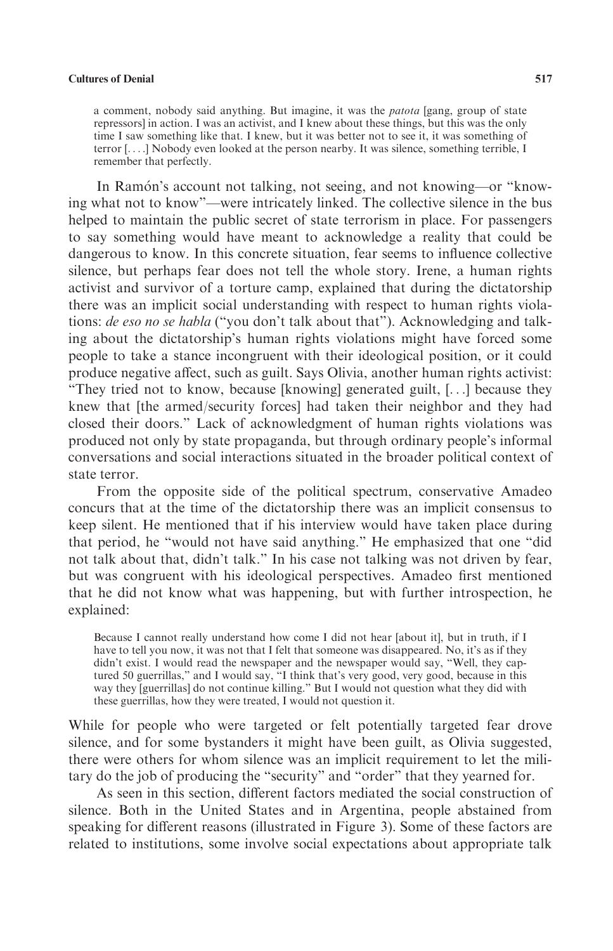a comment, nobody said anything. But imagine, it was the patota [gang, group of state repressors] in action. I was an activist, and I knew about these things, but this was the only time I saw something like that. I knew, but it was better not to see it, it was something of terror [... .] Nobody even looked at the person nearby. It was silence, something terrible, I remember that perfectly.

In Ramón's account not talking, not seeing, and not knowing —or "knowing what not to know"—were intricately linked. The collective silence in the bus helped to maintain the public secret of state terrorism in place. For passengers to say something would have meant to acknowledge a reality that could be dangerous to know. In this concrete situation, fear seems to influence collective silence, but perhaps fear does not tell the whole story. Irene, a human rights activist and survivor of a torture camp, explained that during the dictatorship there was an implicit social understanding with respect to human rights violations: de eso no se habla ("you don't talk about that"). Acknowledging and talking about the dictatorship's human rights violations might have forced some people to take a stance incongruent with their ideological position, or it could produce negative affect, such as guilt. Says Olivia, another human rights activist: "They tried not to know, because [knowing] generated guilt, [...] because they knew that [the armed/security forces] had taken their neighbor and they had closed their doors." Lack of acknowledgment of human rights violations was produced not only by state propaganda, but through ordinary people's informal conversations and social interactions situated in the broader political context of state terror.

From the opposite side of the political spectrum, conservative Amadeo concurs that at the time of the dictatorship there was an implicit consensus to keep silent. He mentioned that if his interview would have taken place during that period, he "would not have said anything." He emphasized that one "did not talk about that, didn't talk." In his case not talking was not driven by fear, but was congruent with his ideological perspectives. Amadeo first mentioned that he did not know what was happening, but with further introspection, he explained:

Because I cannot really understand how come I did not hear [about it], but in truth, if I have to tell you now, it was not that I felt that someone was disappeared. No, it's as if they didn't exist. I would read the newspaper and the newspaper would say, "Well, they captured 50 guerrillas," and I would say, "I think that's very good, very good, because in this way they [guerrillas] do not continue killing." But I would not question what they did with these guerrillas, how they were treated, I would not question it.

While for people who were targeted or felt potentially targeted fear drove silence, and for some bystanders it might have been guilt, as Olivia suggested, there were others for whom silence was an implicit requirement to let the military do the job of producing the "security" and "order" that they yearned for.

As seen in this section, different factors mediated the social construction of silence. Both in the United States and in Argentina, people abstained from speaking for different reasons (illustrated in Figure 3). Some of these factors are related to institutions, some involve social expectations about appropriate talk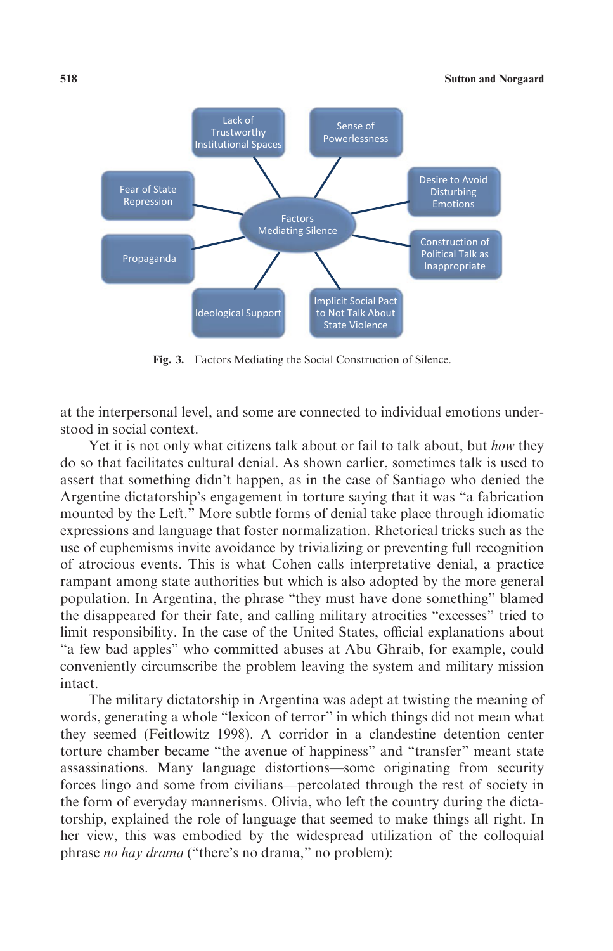

Fig. 3. Factors Mediating the Social Construction of Silence.

at the interpersonal level, and some are connected to individual emotions understood in social context.

Yet it is not only what citizens talk about or fail to talk about, but how they do so that facilitates cultural denial. As shown earlier, sometimes talk is used to assert that something didn't happen, as in the case of Santiago who denied the Argentine dictatorship's engagement in torture saying that it was "a fabrication mounted by the Left." More subtle forms of denial take place through idiomatic expressions and language that foster normalization. Rhetorical tricks such as the use of euphemisms invite avoidance by trivializing or preventing full recognition of atrocious events. This is what Cohen calls interpretative denial, a practice rampant among state authorities but which is also adopted by the more general population. In Argentina, the phrase "they must have done something" blamed the disappeared for their fate, and calling military atrocities "excesses" tried to limit responsibility. In the case of the United States, official explanations about "a few bad apples" who committed abuses at Abu Ghraib, for example, could conveniently circumscribe the problem leaving the system and military mission intact.

The military dictatorship in Argentina was adept at twisting the meaning of words, generating a whole "lexicon of terror" in which things did not mean what they seemed (Feitlowitz 1998). A corridor in a clandestine detention center torture chamber became "the avenue of happiness" and "transfer" meant state assassinations. Many language distortions—some originating from security forces lingo and some from civilians—percolated through the rest of society in the form of everyday mannerisms. Olivia, who left the country during the dictatorship, explained the role of language that seemed to make things all right. In her view, this was embodied by the widespread utilization of the colloquial phrase no hay drama ("there's no drama," no problem):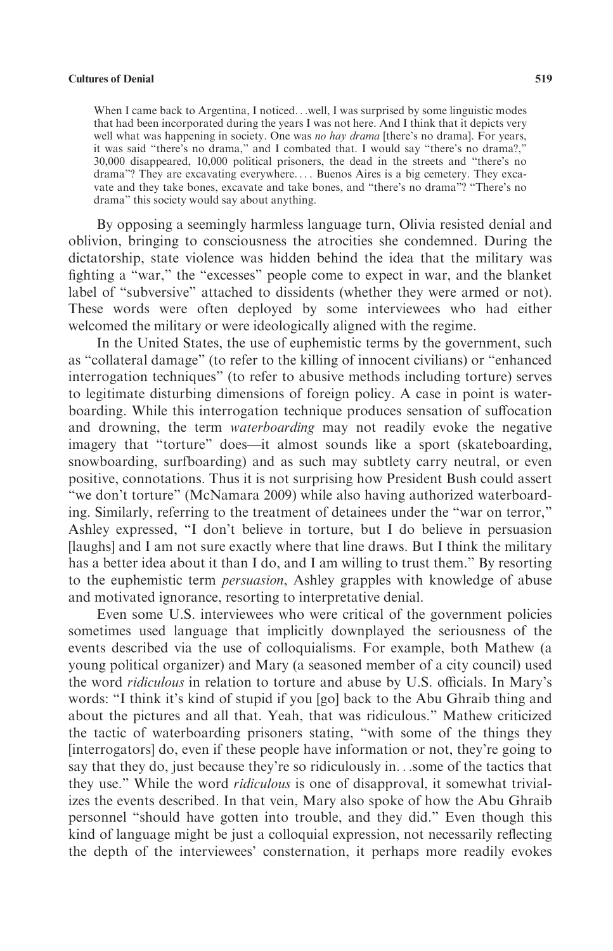When I came back to Argentina, I noticed...well, I was surprised by some linguistic modes that had been incorporated during the years I was not here. And I think that it depicts very well what was happening in society. One was *no hay drama* [there's no drama]. For years, it was said "there's no drama," and I combated that. I would say "there's no drama?," 30,000 disappeared, 10,000 political prisoners, the dead in the streets and "there's no drama"? They are excavating everywhere... . Buenos Aires is a big cemetery. They excavate and they take bones, excavate and take bones, and "there's no drama"? "There's no drama" this society would say about anything.

By opposing a seemingly harmless language turn, Olivia resisted denial and oblivion, bringing to consciousness the atrocities she condemned. During the dictatorship, state violence was hidden behind the idea that the military was fighting a "war," the "excesses" people come to expect in war, and the blanket label of "subversive" attached to dissidents (whether they were armed or not). These words were often deployed by some interviewees who had either welcomed the military or were ideologically aligned with the regime.

In the United States, the use of euphemistic terms by the government, such as "collateral damage" (to refer to the killing of innocent civilians) or "enhanced interrogation techniques" (to refer to abusive methods including torture) serves to legitimate disturbing dimensions of foreign policy. A case in point is waterboarding. While this interrogation technique produces sensation of suffocation and drowning, the term waterboarding may not readily evoke the negative imagery that "torture" does—it almost sounds like a sport (skateboarding, snowboarding, surfboarding) and as such may subtlety carry neutral, or even positive, connotations. Thus it is not surprising how President Bush could assert "we don't torture" (McNamara 2009) while also having authorized waterboarding. Similarly, referring to the treatment of detainees under the "war on terror," Ashley expressed, "I don't believe in torture, but I do believe in persuasion [laughs] and I am not sure exactly where that line draws. But I think the military has a better idea about it than I do, and I am willing to trust them." By resorting to the euphemistic term persuasion, Ashley grapples with knowledge of abuse and motivated ignorance, resorting to interpretative denial.

Even some U.S. interviewees who were critical of the government policies sometimes used language that implicitly downplayed the seriousness of the events described via the use of colloquialisms. For example, both Mathew (a young political organizer) and Mary (a seasoned member of a city council) used the word ridiculous in relation to torture and abuse by U.S. officials. In Mary's words: "I think it's kind of stupid if you [go] back to the Abu Ghraib thing and about the pictures and all that. Yeah, that was ridiculous." Mathew criticized the tactic of waterboarding prisoners stating, "with some of the things they [interrogators] do, even if these people have information or not, they're going to say that they do, just because they're so ridiculously in...some of the tactics that they use." While the word ridiculous is one of disapproval, it somewhat trivializes the events described. In that vein, Mary also spoke of how the Abu Ghraib personnel "should have gotten into trouble, and they did." Even though this kind of language might be just a colloquial expression, not necessarily reflecting the depth of the interviewees' consternation, it perhaps more readily evokes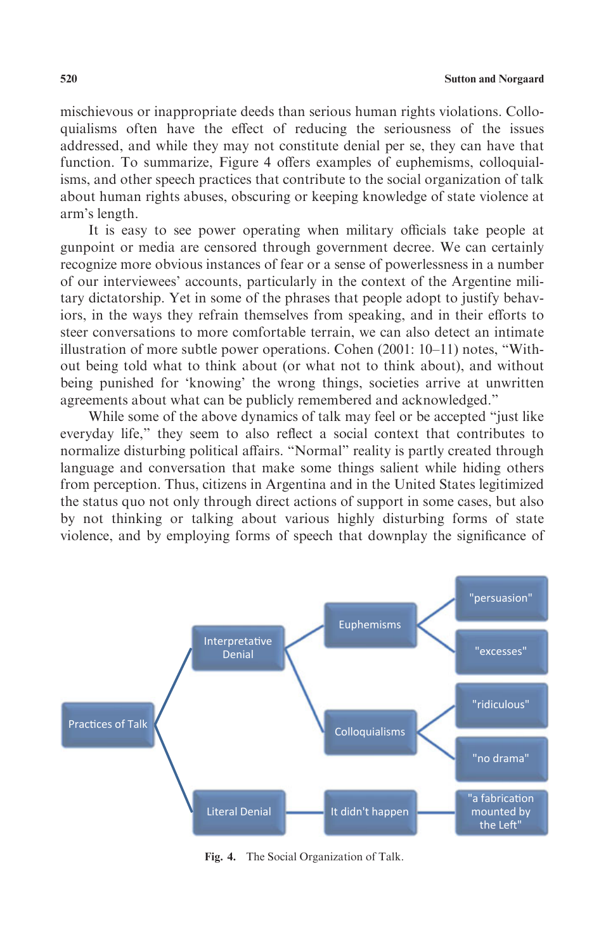mischievous or inappropriate deeds than serious human rights violations. Colloquialisms often have the effect of reducing the seriousness of the issues addressed, and while they may not constitute denial per se, they can have that function. To summarize, Figure 4 offers examples of euphemisms, colloquialisms, and other speech practices that contribute to the social organization of talk about human rights abuses, obscuring or keeping knowledge of state violence at arm's length.

It is easy to see power operating when military officials take people at gunpoint or media are censored through government decree. We can certainly recognize more obvious instances of fear or a sense of powerlessness in a number of our interviewees' accounts, particularly in the context of the Argentine military dictatorship. Yet in some of the phrases that people adopt to justify behaviors, in the ways they refrain themselves from speaking, and in their efforts to steer conversations to more comfortable terrain, we can also detect an intimate illustration of more subtle power operations. Cohen (2001: 10–11) notes, "Without being told what to think about (or what not to think about), and without being punished for 'knowing' the wrong things, societies arrive at unwritten agreements about what can be publicly remembered and acknowledged."

While some of the above dynamics of talk may feel or be accepted "just like" everyday life," they seem to also reflect a social context that contributes to normalize disturbing political affairs. "Normal" reality is partly created through language and conversation that make some things salient while hiding others from perception. Thus, citizens in Argentina and in the United States legitimized the status quo not only through direct actions of support in some cases, but also by not thinking or talking about various highly disturbing forms of state violence, and by employing forms of speech that downplay the significance of



Fig. 4. The Social Organization of Talk.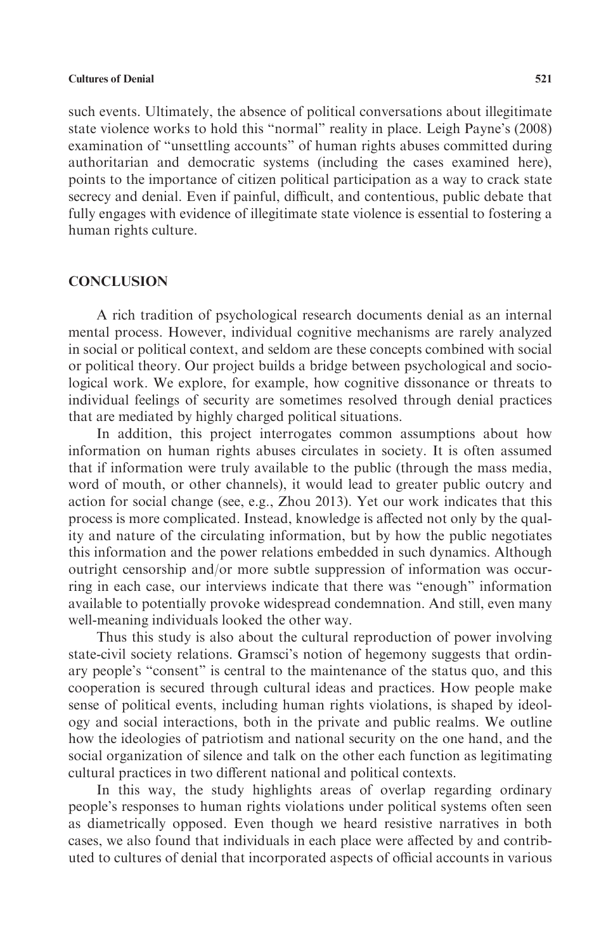such events. Ultimately, the absence of political conversations about illegitimate state violence works to hold this "normal" reality in place. Leigh Payne's (2008) examination of "unsettling accounts" of human rights abuses committed during authoritarian and democratic systems (including the cases examined here), points to the importance of citizen political participation as a way to crack state secrecy and denial. Even if painful, difficult, and contentious, public debate that fully engages with evidence of illegitimate state violence is essential to fostering a human rights culture.

# **CONCLUSION**

A rich tradition of psychological research documents denial as an internal mental process. However, individual cognitive mechanisms are rarely analyzed in social or political context, and seldom are these concepts combined with social or political theory. Our project builds a bridge between psychological and sociological work. We explore, for example, how cognitive dissonance or threats to individual feelings of security are sometimes resolved through denial practices that are mediated by highly charged political situations.

In addition, this project interrogates common assumptions about how information on human rights abuses circulates in society. It is often assumed that if information were truly available to the public (through the mass media, word of mouth, or other channels), it would lead to greater public outcry and action for social change (see, e.g., Zhou 2013). Yet our work indicates that this process is more complicated. Instead, knowledge is affected not only by the quality and nature of the circulating information, but by how the public negotiates this information and the power relations embedded in such dynamics. Although outright censorship and/or more subtle suppression of information was occurring in each case, our interviews indicate that there was "enough" information available to potentially provoke widespread condemnation. And still, even many well-meaning individuals looked the other way.

Thus this study is also about the cultural reproduction of power involving state-civil society relations. Gramsci's notion of hegemony suggests that ordinary people's "consent" is central to the maintenance of the status quo, and this cooperation is secured through cultural ideas and practices. How people make sense of political events, including human rights violations, is shaped by ideology and social interactions, both in the private and public realms. We outline how the ideologies of patriotism and national security on the one hand, and the social organization of silence and talk on the other each function as legitimating cultural practices in two different national and political contexts.

In this way, the study highlights areas of overlap regarding ordinary people's responses to human rights violations under political systems often seen as diametrically opposed. Even though we heard resistive narratives in both cases, we also found that individuals in each place were affected by and contributed to cultures of denial that incorporated aspects of official accounts in various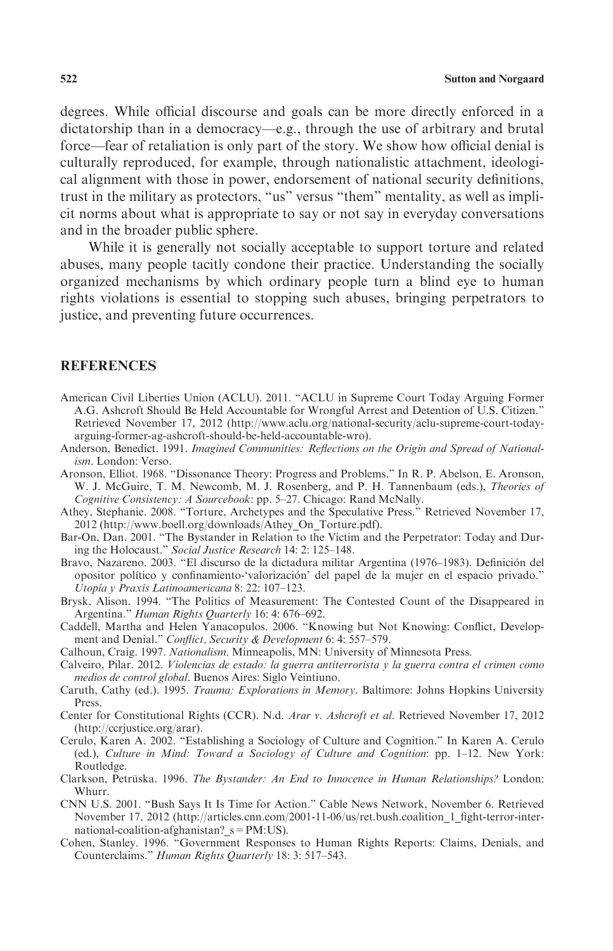degrees. While official discourse and goals can be more directly enforced in a dictatorship than in a democracy—e.g., through the use of arbitrary and brutal force—fear of retaliation is only part of the story. We show how official denial is culturally reproduced, for example, through nationalistic attachment, ideological alignment with those in power, endorsement of national security definitions, trust in the military as protectors, "us" versus "them" mentality, as well as implicit norms about what is appropriate to say or not say in everyday conversations and in the broader public sphere.

While it is generally not socially acceptable to support torture and related abuses, many people tacitly condone their practice. Understanding the socially organized mechanisms by which ordinary people turn a blind eye to human rights violations is essential to stopping such abuses, bringing perpetrators to justice, and preventing future occurrences.

### **REFERENCES**

- American Civil Liberties Union (ACLU). 2011. "ACLU in Supreme Court Today Arguing Former A.G. Ashcroft Should Be Held Accountable for Wrongful Arrest and Detention of U.S. Citizen." Retrieved November 17, 2012 (http://www.aclu.org/national-security/aclu-supreme-court-todayarguing-former-ag-ashcroft-should-be-held-accountable-wro).
- Anderson, Benedict. 1991. Imagined Communities: Reflections on the Origin and Spread of Nationalism. London: Verso.
- Aronson, Elliot. 1968. "Dissonance Theory: Progress and Problems." In R. P. Abelson, E. Aronson, W. J. McGuire, T. M. Newcomb, M. J. Rosenberg, and P. H. Tannenbaum (eds.), Theories of Cognitive Consistency: A Sourcebook: pp. 5–27. Chicago: Rand McNally.
- Athey, Stephanie. 2008. "Torture, Archetypes and the Speculative Press." Retrieved November 17, 2012 (http://www.boell.org/downloads/Athey\_On\_Torture.pdf).
- Bar-On, Dan. 2001. "The Bystander in Relation to the Victim and the Perpetrator: Today and During the Holocaust." Social Justice Research 14: 2: 125–148.
- Bravo, Nazareno. 2003. "El discurso de la dictadura militar Argentina (1976–1983). Definicion del opositor político y confinamiento-'valorización' del papel de la mujer en el espacio privado."  $\hat{U}$ topía y Praxis Latinoamericana 8: 22: 107–123.
- Brysk, Alison. 1994. "The Politics of Measurement: The Contested Count of the Disappeared in Argentina." Human Rights Quarterly 16: 4: 676–692.
- Caddell, Martha and Helen Yanacopulos. 2006. "Knowing but Not Knowing: Conflict, Development and Denial." Conflict, Security & Development 6: 4: 557–579.
- Calhoun, Craig. 1997. Nationalism. Minneapolis, MN: University of Minnesota Press.
- Calveiro, Pilar. 2012. *Violencias de estado: la guerra antiterrorista y la guerra contra el crimen como* medios de control global. Buenos Aires: Siglo Veintiuno.
- Caruth, Cathy (ed.). 1995. Trauma: Explorations in Memory. Baltimore: Johns Hopkins University Press.
- Center for Constitutional Rights (CCR). N.d. Arar v. Ashcroft et al. Retrieved November 17, 2012 (http://ccrjustice.org/arar).
- Cerulo, Karen A. 2002. "Establishing a Sociology of Culture and Cognition." In Karen A. Cerulo (ed.), Culture in Mind: Toward a Sociology of Culture and Cognition: pp. 1–12. New York: Routledge.
- Clarkson, Petrūska. 1996. The Bystander: An End to Innocence in Human Relationships? London: Whurr.
- CNN U.S. 2001. "Bush Says It Is Time for Action." Cable News Network, November 6. Retrieved November 17, 2012 (http://articles.cnn.com/2001-11-06/us/ret.bush.coalition 1 fight-terror-international-coalition-afghanistan?\_s=PM:US).
- Cohen, Stanley. 1996. "Government Responses to Human Rights Reports: Claims, Denials, and Counterclaims." Human Rights Quarterly 18: 3: 517–543.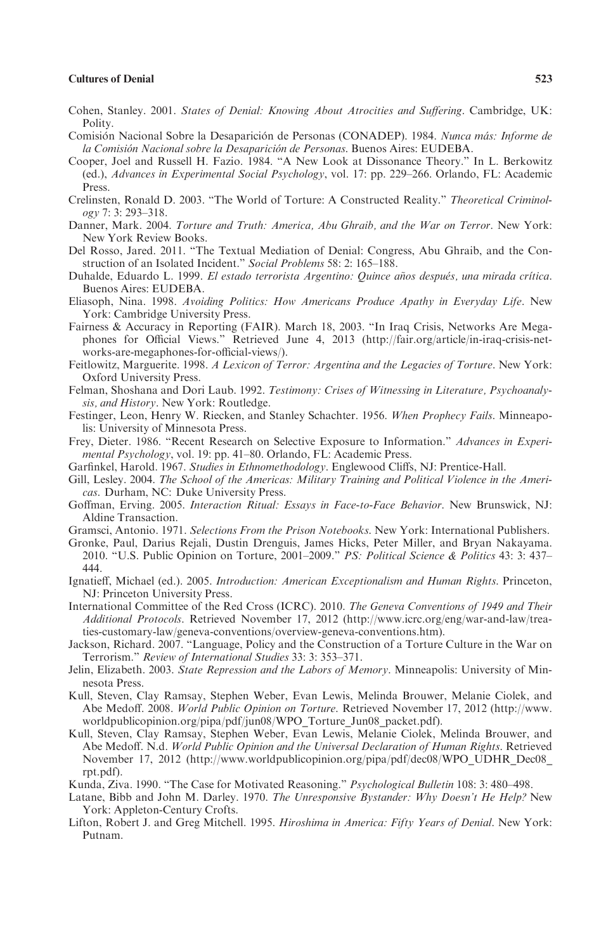- Cohen, Stanley. 2001. States of Denial: Knowing About Atrocities and Suffering. Cambridge, UK: Polity.
- Comisión Nacional Sobre la Desaparición de Personas (CONADEP). 1984. Nunca más: Informe de la Comisión Nacional sobre la Desaparición de Personas. Buenos Aires: EUDEBA.
- Cooper, Joel and Russell H. Fazio. 1984. "A New Look at Dissonance Theory." In L. Berkowitz (ed.), Advances in Experimental Social Psychology, vol. 17: pp. 229–266. Orlando, FL: Academic Press.
- Crelinsten, Ronald D. 2003. "The World of Torture: A Constructed Reality." Theoretical Criminology 7: 3: 293–318.
- Danner, Mark. 2004. Torture and Truth: America, Abu Ghraib, and the War on Terror. New York: New York Review Books.
- Del Rosso, Jared. 2011. "The Textual Mediation of Denial: Congress, Abu Ghraib, and the Construction of an Isolated Incident." Social Problems 58: 2: 165–188.
- Duhalde, Eduardo L. 1999. El estado terrorista Argentino: Quince años después, una mirada crítica. Buenos Aires: EUDEBA.
- Eliasoph, Nina. 1998. Avoiding Politics: How Americans Produce Apathy in Everyday Life. New York: Cambridge University Press.
- Fairness & Accuracy in Reporting (FAIR). March 18, 2003. "In Iraq Crisis, Networks Are Megaphones for Official Views." Retrieved June 4, 2013 (http://fair.org/article/in-iraq-crisis-networks-are-megaphones-for-official-views/).
- Feitlowitz, Marguerite. 1998. A Lexicon of Terror: Argentina and the Legacies of Torture. New York: Oxford University Press.
- Felman, Shoshana and Dori Laub. 1992. Testimony: Crises of Witnessing in Literature, Psychoanalysis, and History. New York: Routledge.
- Festinger, Leon, Henry W. Riecken, and Stanley Schachter. 1956. When Prophecy Fails. Minneapolis: University of Minnesota Press.
- Frey, Dieter. 1986. "Recent Research on Selective Exposure to Information." Advances in Experimental Psychology, vol. 19: pp. 41–80. Orlando, FL: Academic Press.
- Garfinkel, Harold. 1967. Studies in Ethnomethodology. Englewood Cliffs, NJ: Prentice-Hall.
- Gill, Lesley. 2004. The School of the Americas: Military Training and Political Violence in the Americas. Durham, NC: Duke University Press.
- Goffman, Erving. 2005. Interaction Ritual: Essays in Face-to-Face Behavior. New Brunswick, NJ: Aldine Transaction.
- Gramsci, Antonio. 1971. Selections From the Prison Notebooks. New York: International Publishers.
- Gronke, Paul, Darius Rejali, Dustin Drenguis, James Hicks, Peter Miller, and Bryan Nakayama. 2010. "U.S. Public Opinion on Torture, 2001–2009." PS: Political Science & Politics 43: 3: 437– 444.
- Ignatieff, Michael (ed.). 2005. Introduction: American Exceptionalism and Human Rights. Princeton, NJ: Princeton University Press.
- International Committee of the Red Cross (ICRC). 2010. The Geneva Conventions of 1949 and Their Additional Protocols. Retrieved November 17, 2012 (http://www.icrc.org/eng/war-and-law/treaties-customary-law/geneva-conventions/overview-geneva-conventions.htm).
- Jackson, Richard. 2007. "Language, Policy and the Construction of a Torture Culture in the War on Terrorism." Review of International Studies 33: 3: 353–371.
- Jelin, Elizabeth. 2003. State Repression and the Labors of Memory. Minneapolis: University of Minnesota Press.
- Kull, Steven, Clay Ramsay, Stephen Weber, Evan Lewis, Melinda Brouwer, Melanie Ciolek, and Abe Medoff. 2008. World Public Opinion on Torture. Retrieved November 17, 2012 (http://www. worldpublicopinion.org/pipa/pdf/jun08/WPO\_Torture\_Jun08\_packet.pdf).
- Kull, Steven, Clay Ramsay, Stephen Weber, Evan Lewis, Melanie Ciolek, Melinda Brouwer, and Abe Medoff. N.d. World Public Opinion and the Universal Declaration of Human Rights. Retrieved November 17, 2012 (http://www.worldpublicopinion.org/pipa/pdf/dec08/WPO\_UDHR\_Dec08\_ rpt.pdf).
- Kunda, Ziva. 1990. "The Case for Motivated Reasoning." Psychological Bulletin 108: 3: 480–498.
- Latane, Bibb and John M. Darley. 1970. The Unresponsive Bystander: Why Doesn't He Help? New York: Appleton-Century Crofts.
- Lifton, Robert J. and Greg Mitchell. 1995. Hiroshima in America: Fifty Years of Denial. New York: Putnam.